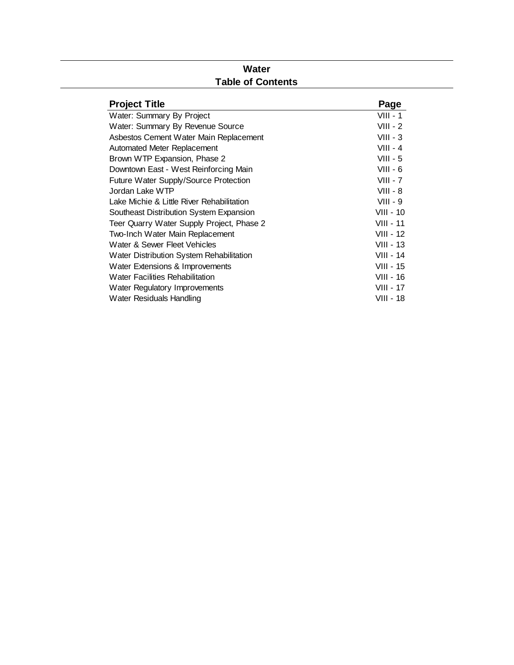#### **Water Table of Contents**

| <b>Project Title</b>                      | Page             |
|-------------------------------------------|------------------|
| Water: Summary By Project                 | $VIII - 1$       |
| Water: Summary By Revenue Source          | $VIII - 2$       |
| Asbestos Cement Water Main Replacement    | $VIII - 3$       |
| Automated Meter Replacement               | $VIII - 4$       |
| Brown WTP Expansion, Phase 2              | $VIII - 5$       |
| Downtown East - West Reinforcing Main     | VIII - 6         |
| Future Water Supply/Source Protection     | $VIII - 7$       |
| Jordan Lake WTP                           | $VIII - 8$       |
| Lake Michie & Little River Rehabilitation | $VIII - 9$       |
| Southeast Distribution System Expansion   | $VIII - 10$      |
| Teer Quarry Water Supply Project, Phase 2 | <b>VIII - 11</b> |
| Two-Inch Water Main Replacement           | VIII - 12        |
| Water & Sewer Fleet Vehicles              | VIII - 13        |
| Water Distribution System Rehabilitation  | VIII - 14        |
| Water Extensions & Improvements           | VIII - 15        |
| <b>Water Facilities Rehabilitation</b>    | VIII - 16        |
| Water Regulatory Improvements             | VIII - 17        |
| Water Residuals Handling                  | VIII - 18        |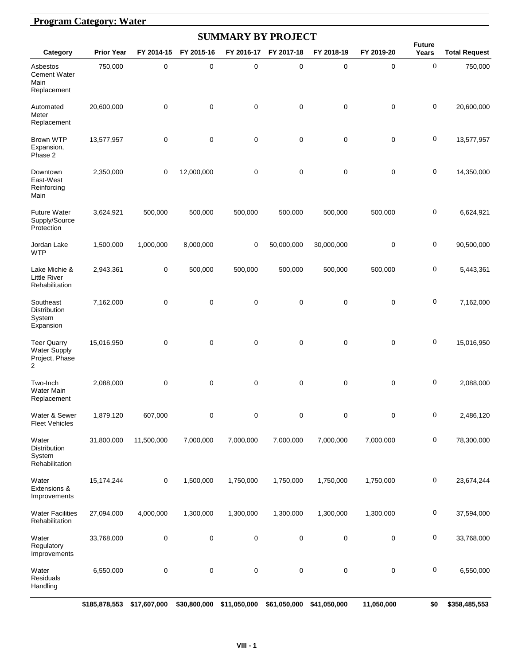#### **Program Category: Water**

|                                                                  |                   |             |             |                  | <b>SUMMARY BY PROJECT</b> |             |             |                        |                      |
|------------------------------------------------------------------|-------------------|-------------|-------------|------------------|---------------------------|-------------|-------------|------------------------|----------------------|
| Category                                                         | <b>Prior Year</b> | FY 2014-15  | FY 2015-16  | FY 2016-17       | FY 2017-18                | FY 2018-19  | FY 2019-20  | <b>Future</b><br>Years | <b>Total Request</b> |
| Asbestos<br><b>Cement Water</b><br>Main<br>Replacement           | 750,000           | $\mathbf 0$ | 0           | $\mathbf 0$      | $\mathbf 0$               | $\pmb{0}$   | $\mathbf 0$ | $\mathbf 0$            | 750,000              |
| Automated<br>Meter<br>Replacement                                | 20,600,000        | 0           | 0           | $\mathbf 0$      | $\mathbf 0$               | $\mathbf 0$ | $\mathbf 0$ | 0                      | 20,600,000           |
| Brown WTP<br>Expansion,<br>Phase 2                               | 13,577,957        | 0           | $\mathbf 0$ | $\mathbf 0$      | $\mathbf 0$               | $\mathbf 0$ | $\mathbf 0$ | 0                      | 13,577,957           |
| Downtown<br>East-West<br>Reinforcing<br>Main                     | 2,350,000         | 0           | 12,000,000  | $\mathbf 0$      | $\mathbf 0$               | $\mathbf 0$ | $\mathbf 0$ | 0                      | 14,350,000           |
| <b>Future Water</b><br>Supply/Source<br>Protection               | 3,624,921         | 500,000     | 500,000     | 500,000          | 500,000                   | 500,000     | 500,000     | 0                      | 6,624,921            |
| Jordan Lake<br><b>WTP</b>                                        | 1,500,000         | 1,000,000   | 8,000,000   | 0                | 50,000,000                | 30,000,000  | $\mathbf 0$ | 0                      | 90,500,000           |
| Lake Michie &<br><b>Little River</b><br>Rehabilitation           | 2,943,361         | 0           | 500,000     | 500,000          | 500,000                   | 500,000     | 500,000     | 0                      | 5,443,361            |
| Southeast<br>Distribution<br>System<br>Expansion                 | 7,162,000         | 0           | 0           | $\mathbf 0$      | $\mathbf 0$               | $\mathbf 0$ | $\mathbf 0$ | 0                      | 7,162,000            |
| <b>Teer Quarry</b><br><b>Water Supply</b><br>Project, Phase<br>2 | 15,016,950        | 0           | $\mathbf 0$ | $\mathbf 0$      | $\mathbf 0$               | $\mathbf 0$ | $\mathbf 0$ | 0                      | 15,016,950           |
| Two-Inch<br><b>Water Main</b><br>Replacement                     | 2,088,000         | 0           | 0           | $\mathbf 0$      | $\mathbf 0$               | 0           | $\mathbf 0$ | 0                      | 2,088,000            |
| Water & Sewer<br><b>Fleet Vehicles</b>                           | 1,879,120         | 607,000     | 0           | $\pmb{0}$        | $\pmb{0}$                 | 0           | $\pmb{0}$   | 0                      | 2,486,120            |
| Water<br>Distribution<br>System<br>Rehabilitation                | 31,800,000        | 11,500,000  | 7,000,000   | 7,000,000        | 7,000,000                 | 7,000,000   | 7,000,000   | 0                      | 78,300,000           |
| Water<br>Extensions &<br>Improvements                            | 15,174,244        | 0           | 1,500,000   | 1,750,000        | 1,750,000                 | 1,750,000   | 1,750,000   | 0                      | 23,674,244           |
| <b>Water Facilities</b><br>Rehabilitation                        | 27,094,000        | 4,000,000   | 1,300,000   | 1,300,000        | 1,300,000                 | 1,300,000   | 1,300,000   | 0                      | 37,594,000           |
| Water<br>Regulatory<br>Improvements                              | 33,768,000        | 0           | $\pmb{0}$   | $\boldsymbol{0}$ | $\mathsf 0$               | 0           | $\pmb{0}$   | 0                      | 33,768,000           |
| Water<br>Residuals<br>Handling                                   | 6,550,000         | 0           | $\pmb{0}$   | $\pmb{0}$        | $\pmb{0}$                 | 0           | $\pmb{0}$   | 0                      | 6,550,000            |

**\$185,878,553 \$17,607,000 \$30,800,000 \$11,050,000 \$61,050,000 \$41,050,000 \$11,050,000 \$0 \$358,485,553**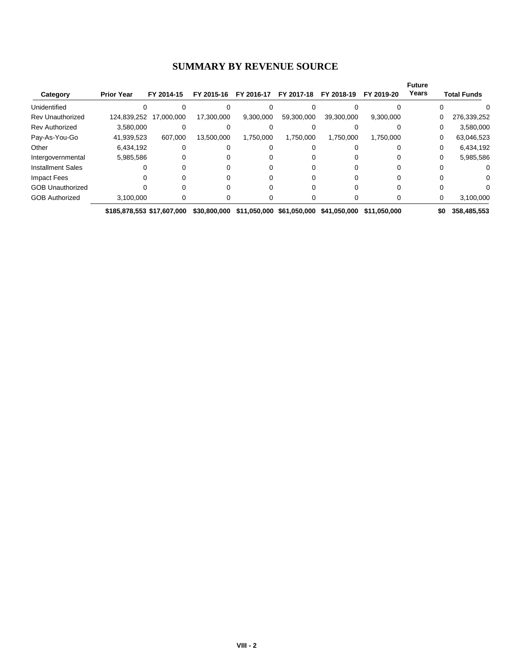#### **SUMMARY BY REVENUE SOURCE**

| Category                 | <b>Prior Year</b>          | FY 2014-15 | FY 2015-16   | FY 2016-17 | FY 2017-18 | FY 2018-19                             | FY 2019-20   | <b>Future</b><br>Years | <b>Total Funds</b> |
|--------------------------|----------------------------|------------|--------------|------------|------------|----------------------------------------|--------------|------------------------|--------------------|
| Unidentified             |                            |            |              |            |            |                                        |              |                        | O                  |
| <b>Rev Unauthorized</b>  | 124,839,252                | 17,000,000 | 17,300,000   | 9,300,000  | 59,300,000 | 39,300,000                             | 9,300,000    |                        | 276,339,252<br>0   |
| <b>Rev Authorized</b>    | 3,580,000                  |            |              |            |            |                                        |              |                        | 3,580,000<br>0     |
| Pay-As-You-Go            | 41,939,523                 | 607,000    | 13,500,000   | 1,750,000  | 1.750.000  | 1,750,000                              | 1,750,000    |                        | 63,046,523<br>0    |
| Other                    | 6,434,192                  |            |              |            |            |                                        |              |                        | 6,434,192<br>0     |
| Intergovernmental        | 5,985,586                  |            |              |            |            |                                        | $\Omega$     |                        | 5,985,586<br>0     |
| <b>Installment Sales</b> |                            |            |              |            |            |                                        |              |                        |                    |
| <b>Impact Fees</b>       |                            |            |              |            |            |                                        |              |                        | 0                  |
| <b>GOB Unauthorized</b>  |                            |            |              |            |            |                                        |              |                        |                    |
| <b>GOB Authorized</b>    | 3,100,000                  |            |              |            |            |                                        |              |                        | 3,100,000<br>0     |
|                          | \$185,878,553 \$17,607,000 |            | \$30,800,000 |            |            | \$11,050,000 \$61,050,000 \$41,050,000 | \$11.050.000 |                        | \$0<br>358,485,553 |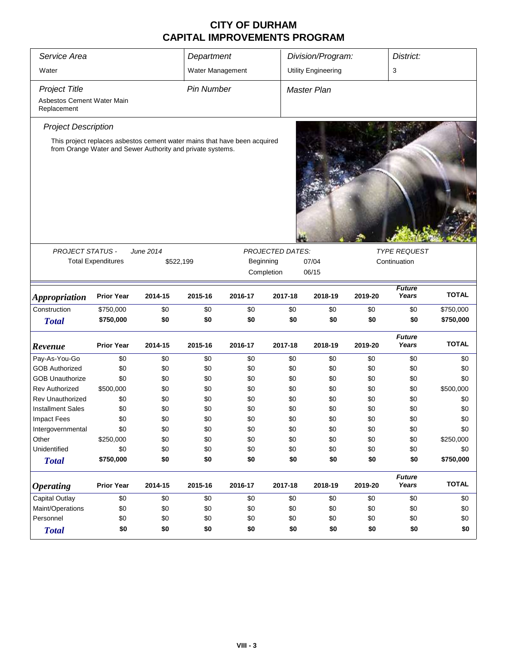| Service Area<br>Department                |                           |                                                                           |                   |           |                         | Division/Program:<br>District: |                                     |                        |              |  |
|-------------------------------------------|---------------------------|---------------------------------------------------------------------------|-------------------|-----------|-------------------------|--------------------------------|-------------------------------------|------------------------|--------------|--|
| Water                                     |                           |                                                                           | Water Management  |           |                         | <b>Utility Engineering</b>     |                                     | 3                      |              |  |
| <b>Project Title</b>                      |                           |                                                                           | <b>Pin Number</b> |           |                         | Master Plan                    |                                     |                        |              |  |
| Asbestos Cement Water Main<br>Replacement |                           |                                                                           |                   |           |                         |                                |                                     |                        |              |  |
| <b>Project Description</b>                |                           |                                                                           |                   |           |                         |                                |                                     |                        |              |  |
|                                           |                           | This project replaces asbestos cement water mains that have been acquired |                   |           |                         |                                |                                     |                        |              |  |
|                                           |                           | from Orange Water and Sewer Authority and private systems.                |                   |           |                         |                                |                                     |                        |              |  |
|                                           |                           |                                                                           |                   |           |                         |                                |                                     |                        |              |  |
|                                           |                           |                                                                           |                   |           |                         |                                |                                     |                        |              |  |
|                                           |                           |                                                                           |                   |           |                         |                                |                                     |                        |              |  |
|                                           |                           |                                                                           |                   |           |                         |                                |                                     |                        |              |  |
|                                           |                           |                                                                           |                   |           |                         |                                |                                     |                        |              |  |
|                                           |                           |                                                                           |                   |           |                         |                                |                                     |                        |              |  |
| <b>PROJECT STATUS -</b>                   |                           | June 2014                                                                 |                   |           | <b>PROJECTED DATES:</b> |                                |                                     |                        |              |  |
|                                           | <b>Total Expenditures</b> | \$522,199                                                                 |                   | Beginning |                         | 07/04                          | <b>TYPE REQUEST</b><br>Continuation |                        |              |  |
|                                           |                           |                                                                           |                   |           | Completion              | 06/15                          |                                     |                        |              |  |
|                                           |                           |                                                                           |                   |           |                         |                                |                                     |                        |              |  |
| <b>Appropriation</b>                      | <b>Prior Year</b>         | 2014-15                                                                   | 2015-16           | 2016-17   | 2017-18                 | 2018-19                        | 2019-20                             | <b>Future</b><br>Years | <b>TOTAL</b> |  |
| Construction                              | \$750,000                 | \$0                                                                       | \$0               | \$0       | \$0                     | \$0                            | \$0                                 | \$0                    | \$750,000    |  |
| <b>Total</b>                              | \$750,000                 | \$0                                                                       | \$0               | \$0       | \$0                     | \$0                            | \$0                                 | \$0                    | \$750,000    |  |
|                                           |                           |                                                                           |                   |           |                         |                                |                                     | <b>Future</b>          |              |  |
| Revenue                                   | <b>Prior Year</b>         | 2014-15                                                                   | 2015-16           | 2016-17   | 2017-18                 | 2018-19                        | 2019-20                             | Years                  | <b>TOTAL</b> |  |
| Pay-As-You-Go                             | \$0                       | \$0                                                                       | \$0               | \$0       | \$0                     | \$0                            | \$0                                 | \$0                    | \$0          |  |
| <b>GOB Authorized</b>                     | \$0                       | \$0                                                                       | \$0               | \$0       | \$0                     | \$0                            | \$0                                 | \$0                    | \$0          |  |
| <b>GOB Unauthorize</b>                    | \$0                       | \$0                                                                       | \$0               | \$0       | \$0                     | \$0                            | \$0                                 | \$0                    | \$0          |  |
| <b>Rev Authorized</b>                     | \$500,000                 | \$0                                                                       | \$0               | \$0       | \$0                     | \$0                            | \$0                                 | \$0                    | \$500,000    |  |
| <b>Rev Unauthorized</b>                   | \$0                       | \$0                                                                       | \$0               | \$0       | \$0                     | \$0                            | \$0                                 | \$0                    | \$0          |  |
| <b>Installment Sales</b>                  | \$0                       | \$0                                                                       | \$0               | \$0       | \$0                     | \$0                            | \$0                                 | \$0                    | \$0          |  |
| <b>Impact Fees</b>                        | \$0                       | \$0                                                                       | \$0               | \$0       | \$0                     | \$0                            | \$0                                 | \$0                    | \$0          |  |
| Intergovernmental                         | \$0                       | \$0                                                                       | \$0               | \$0       | \$0                     | \$0                            | \$0                                 | \$0                    | \$0          |  |
| Other                                     | \$250,000                 | \$0                                                                       | \$0               | \$0       | \$0                     | \$0                            | \$0                                 | \$0                    | \$250,000    |  |
| Unidentified                              | \$0                       | \$0                                                                       | \$0               | \$0       | \$0                     | \$0                            | \$0                                 | \$0                    | \$0          |  |
| <b>Total</b>                              | \$750,000                 | \$0                                                                       | \$0               | \$0       | \$0                     | \$0                            | \$0                                 | \$0                    | \$750,000    |  |
|                                           |                           |                                                                           |                   |           |                         |                                |                                     | <b>Future</b>          |              |  |
| <b>Operating</b>                          | <b>Prior Year</b>         | 2014-15                                                                   | 2015-16           | 2016-17   | 2017-18                 | 2018-19                        | 2019-20                             | Years                  | <b>TOTAL</b> |  |
| Capital Outlay                            | \$0                       | \$0                                                                       | \$0               | \$0       | \$0                     | \$0                            | \$0                                 | \$0                    | \$0          |  |
| Maint/Operations                          | \$0                       | \$0                                                                       | \$0               | \$0       | \$0                     | \$0                            | \$0                                 | \$0                    | \$0          |  |
| Personnel                                 | \$0                       | \$0                                                                       | \$0               | \$0       | \$0                     | \$0                            | \$0                                 | \$0                    | \$0          |  |
| <b>Total</b>                              | \$0                       | \$0                                                                       | \$0               | \$0       | \$0                     | \$0                            | \$0                                 | \$0                    | \$0          |  |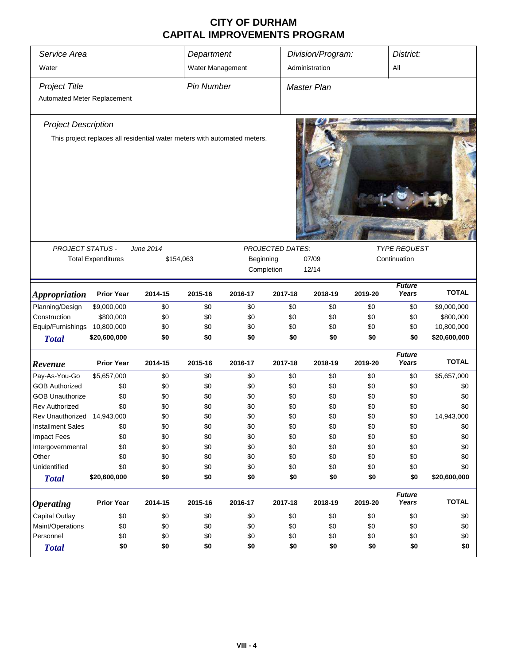| Service Area<br>Water       |                           |                                                                           | Department<br>Water Management |                                               |            | Division/Program:<br>Administration |         |                        |              |
|-----------------------------|---------------------------|---------------------------------------------------------------------------|--------------------------------|-----------------------------------------------|------------|-------------------------------------|---------|------------------------|--------------|
|                             |                           |                                                                           |                                |                                               |            |                                     |         | All                    |              |
| Project Title               |                           |                                                                           | <b>Pin Number</b>              |                                               |            | <b>Master Plan</b>                  |         |                        |              |
| Automated Meter Replacement |                           |                                                                           |                                |                                               |            |                                     |         |                        |              |
| <b>Project Description</b>  |                           |                                                                           |                                |                                               |            |                                     |         |                        |              |
|                             |                           | This project replaces all residential water meters with automated meters. |                                |                                               |            |                                     |         |                        |              |
|                             |                           |                                                                           |                                |                                               |            |                                     |         |                        |              |
| <b>PROJECT STATUS -</b>     |                           | June 2014                                                                 |                                |                                               |            |                                     |         | <b>TYPE REQUEST</b>    |              |
|                             | <b>Total Expenditures</b> |                                                                           | \$154,063                      | <b>PROJECTED DATES:</b><br>Beginning<br>07/09 |            |                                     |         | Continuation           |              |
|                             |                           |                                                                           |                                |                                               | Completion | 12/14                               |         |                        |              |
|                             |                           |                                                                           |                                |                                               |            |                                     |         |                        |              |
| <b>Appropriation</b>        | <b>Prior Year</b>         | 2014-15                                                                   | 2015-16                        | 2016-17                                       | 2017-18    | 2018-19                             | 2019-20 | <b>Future</b><br>Years | <b>TOTAL</b> |
| Planning/Design             | \$9,000,000               | \$0                                                                       | \$0                            | \$0                                           | \$0        | \$0                                 | \$0     | \$0                    | \$9,000,000  |
| Construction                | \$800,000                 | \$0                                                                       | \$0                            | \$0                                           | \$0        | \$0                                 | \$0     | \$0                    | \$800,000    |
| Equip/Furnishings           | 10,800,000                | \$0                                                                       | \$0                            | \$0                                           | \$0        | \$0                                 | \$0     | \$0                    | 10,800,000   |
| <b>Total</b>                | \$20,600,000              | \$0                                                                       | \$0                            | \$0                                           | \$0        | \$0                                 | \$0     | \$0                    | \$20,600,000 |
| Revenue                     | <b>Prior Year</b>         | 2014-15                                                                   | 2015-16                        | 2016-17                                       | 2017-18    | 2018-19                             | 2019-20 | <b>Future</b><br>Years | <b>TOTAL</b> |
| Pay-As-You-Go               | \$5,657,000               | \$0                                                                       | \$0                            | \$0                                           | \$0        | \$0                                 | \$0     | \$0                    | \$5,657,000  |
| <b>GOB Authorized</b>       | \$0                       | \$0                                                                       | \$0                            | \$0                                           | \$0        | \$0                                 | \$0     | \$0                    | \$0          |
| <b>GOB Unauthorize</b>      | \$0                       | \$0                                                                       | \$0                            | \$0                                           | \$0        | \$0                                 | \$0     | \$0                    | \$0          |
| <b>Rev Authorized</b>       | \$0                       | \$0                                                                       | \$0                            | \$0                                           | \$0        | \$0                                 | \$0     | \$0                    | \$0          |
| Rev Unauthorized 14,943,000 |                           | \$0                                                                       | \$0                            | \$0                                           | \$0        | \$0                                 | \$0     | \$0                    | 14,943,000   |
| <b>Installment Sales</b>    | \$0                       | \$0                                                                       | \$0                            | \$0                                           | \$0        | \$0                                 | \$0     | \$0                    | \$0          |
| <b>Impact Fees</b>          | \$0                       | \$0                                                                       | \$0                            | \$0                                           | \$0        | \$0                                 | \$0     | \$0                    | \$0          |
| Intergovernmental           | \$0                       | \$0                                                                       | \$0                            | \$0                                           | \$0        | \$0                                 | \$0     | \$0                    | \$0          |
| Other                       | \$0                       | \$0                                                                       | \$0                            | \$0                                           | \$0        | \$0                                 | \$0     | \$0                    | \$0          |
| Unidentified                | \$0                       | \$0                                                                       | \$0                            | \$0                                           | \$0        | \$0                                 | \$0     | \$0                    | \$0          |
| <b>Total</b>                | \$20,600,000              | \$0                                                                       | \$0                            | \$0                                           | \$0        | \$0                                 | \$0     | \$0                    | \$20,600,000 |
| <b>Operating</b>            | <b>Prior Year</b>         | 2014-15                                                                   | 2015-16                        | 2016-17                                       | 2017-18    | 2018-19                             | 2019-20 | <b>Future</b><br>Years | <b>TOTAL</b> |
| Capital Outlay              | \$0                       | \$0                                                                       | \$0                            | \$0                                           | \$0        | \$0                                 | \$0     | \$0                    | \$0          |
| Maint/Operations            | \$0                       | \$0                                                                       | \$0                            | \$0                                           | \$0        | \$0                                 | \$0     | \$0                    | \$0          |
| Personnel                   | \$0                       | \$0                                                                       | \$0                            | \$0                                           | \$0        | \$0                                 | \$0     | \$0                    | \$0          |
| <b>Total</b>                | \$0                       | \$0                                                                       | \$0                            | \$0                                           | \$0        | \$0                                 | \$0     | \$0                    | \$0          |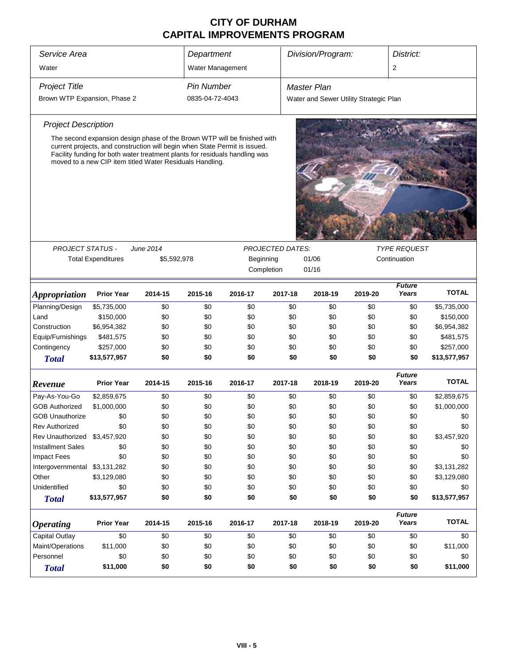| Service Area                                                              | Department                                                                                                                                                                                                                                                                                        |           | Division/Program:<br>District:                    |            |                     |                                        |            |                        |                            |
|---------------------------------------------------------------------------|---------------------------------------------------------------------------------------------------------------------------------------------------------------------------------------------------------------------------------------------------------------------------------------------------|-----------|---------------------------------------------------|------------|---------------------|----------------------------------------|------------|------------------------|----------------------------|
| Water                                                                     |                                                                                                                                                                                                                                                                                                   |           | Water Management                                  |            |                     |                                        |            | 2                      |                            |
| <b>Project Title</b>                                                      |                                                                                                                                                                                                                                                                                                   |           | <b>Pin Number</b>                                 |            |                     | <b>Master Plan</b>                     |            |                        |                            |
| Brown WTP Expansion, Phase 2                                              |                                                                                                                                                                                                                                                                                                   |           | 0835-04-72-4043                                   |            |                     | Water and Sewer Utility Strategic Plan |            |                        |                            |
|                                                                           |                                                                                                                                                                                                                                                                                                   |           |                                                   |            |                     |                                        |            |                        |                            |
| <b>Project Description</b>                                                |                                                                                                                                                                                                                                                                                                   |           |                                                   |            |                     |                                        |            |                        |                            |
|                                                                           | The second expansion design phase of the Brown WTP will be finished with<br>current projects, and construction will begin when State Permit is issued.<br>Facility funding for both water treatment plants for residuals handling was<br>moved to a new CIP item titled Water Residuals Handling. |           |                                                   |            |                     |                                        |            |                        |                            |
|                                                                           |                                                                                                                                                                                                                                                                                                   |           |                                                   |            |                     |                                        |            |                        |                            |
| <b>PROJECT STATUS -</b>                                                   |                                                                                                                                                                                                                                                                                                   | June 2014 |                                                   |            | <b>TYPE REQUEST</b> |                                        |            |                        |                            |
|                                                                           | <b>Total Expenditures</b>                                                                                                                                                                                                                                                                         |           | Continuation<br>\$5,592,978<br>Beginning<br>01/06 |            |                     |                                        |            |                        |                            |
|                                                                           |                                                                                                                                                                                                                                                                                                   |           |                                                   | Completion |                     | 01/16                                  |            |                        |                            |
| <b>Appropriation</b>                                                      | <b>Prior Year</b>                                                                                                                                                                                                                                                                                 | 2014-15   | 2015-16                                           | 2016-17    | 2017-18             | 2018-19                                | 2019-20    | <b>Future</b><br>Years | <b>TOTAL</b>               |
| Planning/Design                                                           | \$5,735,000                                                                                                                                                                                                                                                                                       | \$0       | \$0                                               | \$0        | \$0                 | \$0                                    | \$0        | \$0                    | \$5,735,000                |
| Land                                                                      | \$150,000                                                                                                                                                                                                                                                                                         | \$0       | \$0                                               | \$0        | \$0                 | \$0                                    | \$0        | \$0                    | \$150,000                  |
| Construction                                                              | \$6,954,382                                                                                                                                                                                                                                                                                       | \$0       | \$0                                               | \$0        | \$0                 | \$0                                    | \$0        | \$0                    | \$6,954,382                |
| Equip/Furnishings                                                         | \$481,575                                                                                                                                                                                                                                                                                         | \$0       | \$0                                               | \$0        | \$0                 | \$0                                    | \$0        | \$0                    | \$481,575                  |
| Contingency                                                               | \$257,000                                                                                                                                                                                                                                                                                         | \$0       | \$0                                               | \$0        | \$0                 | \$0                                    | \$0        | \$0                    | \$257,000                  |
| <b>Total</b>                                                              | \$13,577,957                                                                                                                                                                                                                                                                                      | \$0       | \$0                                               | \$0        | \$0                 | \$0                                    | \$0        | \$0                    | \$13,577,957               |
| Revenue                                                                   | <b>Prior Year</b>                                                                                                                                                                                                                                                                                 | 2014-15   | 2015-16                                           | 2016-17    | 2017-18             | 2018-19                                | 2019-20    | <b>Future</b><br>Years | <b>TOTAL</b>               |
|                                                                           |                                                                                                                                                                                                                                                                                                   |           |                                                   |            |                     |                                        |            |                        |                            |
| Pay-As-You-Go                                                             | \$2,859,675                                                                                                                                                                                                                                                                                       | \$0       | \$0                                               | \$0        | \$0                 | \$0                                    | \$0        | \$0                    | \$2,859,675<br>\$1,000,000 |
| <b>GOB Authorized</b>                                                     | \$1,000,000                                                                                                                                                                                                                                                                                       | \$0       | \$0<br>\$0                                        | \$0<br>\$0 | \$0<br>\$0          | \$0<br>\$0                             | \$0<br>\$0 | \$0<br>\$0             |                            |
| <b>GOB Unauthorize</b><br><b>Rev Authorized</b>                           | \$0                                                                                                                                                                                                                                                                                               | \$0       |                                                   |            |                     |                                        |            |                        | \$0                        |
| Rev Unauthorized                                                          | \$0                                                                                                                                                                                                                                                                                               | \$0       | \$0                                               | \$0        | \$0                 | \$0                                    | \$0        | \$0                    | \$0                        |
|                                                                           | \$3,457,920                                                                                                                                                                                                                                                                                       | \$0       | \$0                                               | \$0        | \$0                 | \$0                                    | \$0        | \$0                    | \$3,457,920                |
| <b>Installment Sales</b>                                                  | \$0                                                                                                                                                                                                                                                                                               | \$0       | \$0                                               | \$0        | \$0                 | \$0                                    | \$0        | \$0                    | \$0                        |
| <b>Impact Fees</b>                                                        | \$0                                                                                                                                                                                                                                                                                               | \$0       | \$0                                               | \$0        | \$0                 | \$0                                    | \$0        | \$0                    | \$0                        |
| Intergovernmental \$3,131,282                                             |                                                                                                                                                                                                                                                                                                   | \$0       | \$0                                               | \$0        | \$0                 | \$0                                    | \$0        | \$0                    | \$3,131,282                |
| Other                                                                     | \$3,129,080                                                                                                                                                                                                                                                                                       | \$0       | \$0                                               | \$0        | \$0                 | \$0                                    | \$0        | \$0                    | \$3,129,080                |
| Unidentified                                                              | \$0                                                                                                                                                                                                                                                                                               | \$0       | \$0                                               | \$0        | \$0                 | \$0                                    | \$0        | \$0                    | \$0                        |
| <b>Total</b>                                                              | \$13,577,957                                                                                                                                                                                                                                                                                      | \$0       | \$0                                               | \$0        | \$0                 | \$0                                    | \$0        | \$0                    | \$13,577,957               |
| <b>Operating</b>                                                          | <b>Prior Year</b>                                                                                                                                                                                                                                                                                 | 2014-15   | 2015-16                                           | 2016-17    | 2017-18             | 2018-19                                | 2019-20    | <b>Future</b><br>Years | <b>TOTAL</b>               |
| <b>Capital Outlay</b>                                                     | \$0                                                                                                                                                                                                                                                                                               | \$0       | \$0                                               | \$0        | \$0                 | \$0                                    | \$0        | \$0                    | \$0                        |
| Maint/Operations                                                          | \$11,000                                                                                                                                                                                                                                                                                          | \$0       | \$0                                               | \$0        | \$0                 | \$0                                    | \$0        | \$0                    | \$11,000                   |
| Personnel                                                                 | \$0<br>\$0<br>\$0<br>\$0                                                                                                                                                                                                                                                                          |           |                                                   |            |                     | \$0                                    | \$0        | \$0                    | \$0                        |
| \$0<br>\$11,000<br>\$0<br>\$0<br>\$0<br>\$0<br>\$0<br>\$0<br><b>Total</b> |                                                                                                                                                                                                                                                                                                   |           |                                                   |            |                     |                                        | \$0        | \$11,000               |                            |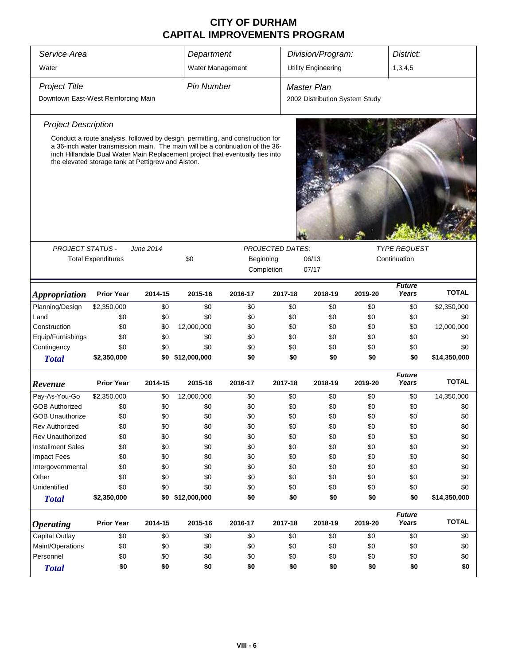| Service Area                        | Department                                         |           |                                                                                                                                                                                                                                                  | Division/Program: |                         | District:                      |         |                        |              |
|-------------------------------------|----------------------------------------------------|-----------|--------------------------------------------------------------------------------------------------------------------------------------------------------------------------------------------------------------------------------------------------|-------------------|-------------------------|--------------------------------|---------|------------------------|--------------|
| Water                               |                                                    |           | Water Management                                                                                                                                                                                                                                 |                   |                         | <b>Utility Engineering</b>     |         | 1,3,4,5                |              |
| <b>Project Title</b>                |                                                    |           | <b>Pin Number</b>                                                                                                                                                                                                                                |                   |                         | <b>Master Plan</b>             |         |                        |              |
| Downtown East-West Reinforcing Main |                                                    |           |                                                                                                                                                                                                                                                  |                   |                         | 2002 Distribution System Study |         |                        |              |
| <b>Project Description</b>          |                                                    |           |                                                                                                                                                                                                                                                  |                   |                         |                                |         |                        |              |
|                                     | the elevated storage tank at Pettigrew and Alston. |           | Conduct a route analysis, followed by design, permitting, and construction for<br>a 36-inch water transmission main. The main will be a continuation of the 36-<br>inch Hillandale Dual Water Main Replacement project that eventually ties into |                   |                         |                                |         |                        |              |
|                                     |                                                    |           |                                                                                                                                                                                                                                                  |                   |                         |                                |         |                        |              |
| <b>PROJECT STATUS -</b>             |                                                    | June 2014 |                                                                                                                                                                                                                                                  |                   | <b>PROJECTED DATES:</b> |                                |         | <b>TYPE REQUEST</b>    |              |
|                                     | <b>Total Expenditures</b>                          |           | \$0                                                                                                                                                                                                                                              | Beginning         | Completion              | 06/13<br>07/17                 |         | Continuation           |              |
|                                     |                                                    |           |                                                                                                                                                                                                                                                  |                   |                         |                                |         |                        |              |
| <i><b>Appropriation</b></i>         | <b>Prior Year</b>                                  | 2014-15   | 2015-16                                                                                                                                                                                                                                          | 2016-17           | 2017-18                 | 2018-19                        | 2019-20 | <b>Future</b><br>Years | <b>TOTAL</b> |
| Planning/Design                     | \$2,350,000                                        | \$0       | \$0                                                                                                                                                                                                                                              | \$0               | \$0                     | \$0                            | \$0     | \$0                    | \$2,350,000  |
| Land                                | \$0                                                | \$0       | \$0                                                                                                                                                                                                                                              | \$0               | \$0                     | \$0                            | \$0     | \$0                    | \$0          |
| Construction                        | \$0                                                | \$0       | 12,000,000                                                                                                                                                                                                                                       | \$0               | \$0                     | \$0                            | \$0     | \$0                    | 12,000,000   |
| Equip/Furnishings                   | \$0                                                | \$0       | \$0                                                                                                                                                                                                                                              | \$0               | \$0                     | \$0                            | \$0     | \$0                    | \$0          |
| Contingency                         | \$0                                                | \$0       | \$0                                                                                                                                                                                                                                              | \$0               | \$0                     | \$0                            | \$0     | \$0                    | \$0          |
| <b>Total</b>                        | \$2,350,000                                        | \$0       | \$12,000,000                                                                                                                                                                                                                                     | \$0               | \$0                     | \$0                            | \$0     | \$0                    | \$14,350,000 |
| Revenue                             | <b>Prior Year</b>                                  | 2014-15   | 2015-16                                                                                                                                                                                                                                          | 2016-17           | 2017-18                 | 2018-19                        | 2019-20 | <b>Future</b><br>Years | <b>TOTAL</b> |
| Pay-As-You-Go                       | \$2,350,000                                        | \$0       | 12,000,000                                                                                                                                                                                                                                       | \$0               | \$0                     | \$0                            | \$0     | \$0                    | 14,350,000   |
| <b>GOB Authorized</b>               | \$0                                                | \$0       | \$0                                                                                                                                                                                                                                              | \$0               | \$0                     | \$0                            | \$0     | \$0                    | \$0          |
| <b>GOB Unauthorize</b>              | \$0                                                | \$0       | \$0                                                                                                                                                                                                                                              | \$0               | \$0                     | \$0                            | \$0     | \$0                    | \$0          |
| Rev Authorized                      | \$0                                                | \$0       | \$0                                                                                                                                                                                                                                              | \$0               | \$0                     | \$0                            | \$0     | \$0                    | \$0          |
| <b>Rev Unauthorized</b>             | \$0                                                | \$0       | \$0                                                                                                                                                                                                                                              | \$0               | \$0                     | \$0                            | \$0     | \$0                    | \$0          |
| <b>Installment Sales</b>            | \$0                                                | \$0       | \$0                                                                                                                                                                                                                                              | \$0               | \$0                     | \$0                            | \$0     | \$0                    | \$0          |
| <b>Impact Fees</b>                  | \$0                                                | \$0       | \$0                                                                                                                                                                                                                                              | \$0               | \$0                     | \$0                            | \$0     | \$0                    | \$0          |
| Intergovernmental                   | \$0                                                | \$0       | \$0                                                                                                                                                                                                                                              | \$0               | \$0                     | \$0                            | \$0     | \$0                    | \$0          |
| Other                               | \$0                                                | \$0       | \$0                                                                                                                                                                                                                                              | \$0               | \$0                     | \$0                            | \$0     | \$0                    | \$0          |
| Unidentified                        | \$0                                                | \$0       | \$0                                                                                                                                                                                                                                              | \$0               | \$0                     | \$0                            | \$0     | \$0                    | \$0          |
| <b>Total</b>                        | \$2,350,000                                        |           | \$0 \$12,000,000                                                                                                                                                                                                                                 | \$0               | \$0                     | \$0                            | \$0     | \$0                    | \$14,350,000 |
| <b>Operating</b>                    | <b>Prior Year</b>                                  | 2014-15   | 2015-16                                                                                                                                                                                                                                          | 2016-17           | 2017-18                 | 2018-19                        | 2019-20 | <b>Future</b><br>Years | <b>TOTAL</b> |
| <b>Capital Outlay</b>               | \$0                                                | \$0       | \$0                                                                                                                                                                                                                                              | \$0               | \$0                     | \$0                            | \$0     | \$0                    | \$0          |
| Maint/Operations                    | \$0                                                | \$0       | \$0                                                                                                                                                                                                                                              | \$0               | \$0                     | \$0                            | \$0     | \$0                    | \$0          |
| Personnel                           | \$0<br>\$0<br>\$0<br>\$0                           |           |                                                                                                                                                                                                                                                  |                   | \$0                     | \$0                            | \$0     | \$0                    | \$0          |
| <b>Total</b>                        | \$0                                                | \$0       | \$0                                                                                                                                                                                                                                              | \$0               | \$0                     | \$0                            | \$0     | \$0                    | \$0          |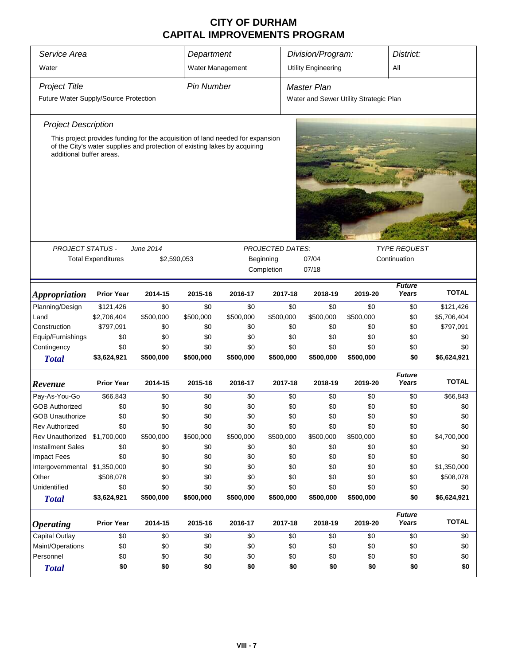| Service Area<br>Department                                                                             |                                                                                |                                                                                |                   |           |                         | Division/Program:<br>District:         |           |                        |              |  |
|--------------------------------------------------------------------------------------------------------|--------------------------------------------------------------------------------|--------------------------------------------------------------------------------|-------------------|-----------|-------------------------|----------------------------------------|-----------|------------------------|--------------|--|
| Water                                                                                                  |                                                                                |                                                                                | Water Management  |           |                         | <b>Utility Engineering</b>             |           | All                    |              |  |
| <b>Project Title</b>                                                                                   |                                                                                |                                                                                | <b>Pin Number</b> |           |                         | <b>Master Plan</b>                     |           |                        |              |  |
| Future Water Supply/Source Protection                                                                  |                                                                                |                                                                                |                   |           |                         | Water and Sewer Utility Strategic Plan |           |                        |              |  |
|                                                                                                        |                                                                                |                                                                                |                   |           |                         |                                        |           |                        |              |  |
| <b>Project Description</b>                                                                             |                                                                                |                                                                                |                   |           |                         |                                        |           |                        |              |  |
|                                                                                                        |                                                                                | This project provides funding for the acquisition of land needed for expansion |                   |           |                         |                                        |           |                        |              |  |
| of the City's water supplies and protection of existing lakes by acquiring<br>additional buffer areas. |                                                                                |                                                                                |                   |           |                         |                                        |           |                        |              |  |
|                                                                                                        |                                                                                |                                                                                |                   |           |                         |                                        |           |                        |              |  |
|                                                                                                        |                                                                                |                                                                                |                   |           |                         |                                        |           |                        |              |  |
|                                                                                                        |                                                                                |                                                                                |                   |           |                         |                                        |           |                        |              |  |
|                                                                                                        |                                                                                |                                                                                |                   |           |                         |                                        |           |                        |              |  |
|                                                                                                        |                                                                                |                                                                                |                   |           |                         |                                        |           |                        |              |  |
|                                                                                                        |                                                                                |                                                                                |                   |           |                         |                                        |           |                        |              |  |
|                                                                                                        |                                                                                |                                                                                |                   |           |                         |                                        |           |                        |              |  |
|                                                                                                        |                                                                                |                                                                                |                   |           |                         |                                        |           |                        |              |  |
| <b>PROJECT STATUS -</b>                                                                                |                                                                                | June 2014                                                                      |                   |           | <b>PROJECTED DATES:</b> |                                        |           | <b>TYPE REQUEST</b>    |              |  |
|                                                                                                        | 07/04<br><b>Total Expenditures</b><br>\$2,590,053<br>Beginning<br>Continuation |                                                                                |                   |           |                         |                                        |           |                        |              |  |
|                                                                                                        |                                                                                |                                                                                |                   |           | Completion              | 07/18                                  |           |                        |              |  |
|                                                                                                        |                                                                                |                                                                                |                   |           |                         |                                        |           | <b>Future</b>          |              |  |
| <i><b>Appropriation</b></i>                                                                            | <b>Prior Year</b>                                                              | 2014-15                                                                        | 2015-16           | 2016-17   | 2017-18                 | 2018-19                                | 2019-20   | Years                  | <b>TOTAL</b> |  |
| Planning/Design                                                                                        | \$121,426                                                                      | \$0                                                                            | \$0               | \$0       | \$0                     | \$0                                    | \$0       | \$0                    | \$121,426    |  |
| Land                                                                                                   | \$2,706,404                                                                    | \$500,000                                                                      | \$500,000         | \$500,000 | \$500,000               | \$500,000                              | \$500,000 | \$0                    | \$5,706,404  |  |
| Construction                                                                                           | \$797,091                                                                      | \$0                                                                            | \$0               | \$0       | \$0                     | \$0                                    | \$0       | \$0                    | \$797,091    |  |
| Equip/Furnishings                                                                                      | \$0                                                                            | \$0                                                                            | \$0               | \$0       | \$0                     | \$0                                    | \$0       | \$0                    | \$0          |  |
| Contingency                                                                                            | \$0                                                                            | \$0                                                                            | \$0               | \$0       | \$0                     | \$0                                    | \$0       | \$0                    | \$0          |  |
| <b>Total</b>                                                                                           | \$3,624,921                                                                    | \$500,000                                                                      | \$500,000         | \$500,000 | \$500,000               | \$500,000                              | \$500,000 | \$0                    | \$6,624,921  |  |
|                                                                                                        |                                                                                |                                                                                |                   |           |                         |                                        |           | <b>Future</b>          |              |  |
| Revenue                                                                                                | <b>Prior Year</b>                                                              | 2014-15                                                                        | 2015-16           | 2016-17   | 2017-18                 | 2018-19                                | 2019-20   | Years                  | <b>TOTAL</b> |  |
| Pay-As-You-Go                                                                                          | \$66,843                                                                       | \$0                                                                            | \$0               | \$0       | \$0                     | \$0                                    | \$0       | \$0                    | \$66,843     |  |
| <b>GOB Authorized</b>                                                                                  | \$0                                                                            | \$0                                                                            | \$0               | \$0       | \$0                     | \$0                                    | \$0       | \$0                    | \$0          |  |
| <b>GOB Unauthorize</b>                                                                                 | \$0                                                                            | \$0                                                                            | \$0               | \$0       | \$0                     | \$0                                    | \$0       | \$0                    | \$0          |  |
| Rev Authorized                                                                                         | \$0                                                                            | \$0                                                                            | \$0               | \$0       | \$0                     | \$0                                    | \$0       | \$0                    | \$0          |  |
| Rev Unauthorized \$1,700,000                                                                           |                                                                                | \$500,000                                                                      | \$500,000         | \$500,000 | \$500,000               | \$500,000                              | \$500,000 | \$0                    | \$4,700,000  |  |
| <b>Installment Sales</b>                                                                               | \$0                                                                            | \$0                                                                            | \$0               | \$0       | \$0                     | \$0                                    | \$0       | \$0                    | \$0          |  |
| <b>Impact Fees</b>                                                                                     | \$0                                                                            | \$0                                                                            | \$0               | \$0       | \$0                     | \$0                                    | \$0       | \$0                    | \$0          |  |
| Intergovernmental \$1,350,000                                                                          |                                                                                | \$0                                                                            | \$0               | \$0       | \$0                     | \$0                                    | \$0       | \$0                    | \$1,350,000  |  |
| Other                                                                                                  | \$508,078                                                                      | \$0                                                                            | \$0               | \$0       | \$0                     | \$0                                    | \$0       | \$0                    | \$508,078    |  |
| Unidentified                                                                                           | \$0                                                                            | \$0                                                                            | \$0               | \$0       | \$0                     | \$0                                    | \$0       | \$0                    | \$0          |  |
| <b>Total</b>                                                                                           | \$3,624,921                                                                    | \$500,000                                                                      | \$500,000         | \$500,000 | \$500,000               | \$500,000                              | \$500,000 | \$0                    | \$6,624,921  |  |
| <i><b>Operating</b></i>                                                                                | <b>Prior Year</b>                                                              | 2014-15                                                                        | 2015-16           | 2016-17   | 2017-18                 | 2018-19                                | 2019-20   | <b>Future</b><br>Years | <b>TOTAL</b> |  |
| Capital Outlay                                                                                         | \$0                                                                            | \$0                                                                            | \$0               | \$0       | \$0                     | \$0                                    | \$0       | \$0                    | \$0          |  |
| Maint/Operations                                                                                       | \$0                                                                            | \$0                                                                            | \$0               | \$0       | \$0                     | \$0                                    | \$0       | \$0                    | \$0          |  |
| Personnel                                                                                              | \$0                                                                            | \$0                                                                            | \$0               | \$0       | \$0                     | \$0                                    | \$0       | \$0                    | \$0          |  |
| \$0<br>\$0<br>\$0<br>\$0<br>\$0<br>\$0<br>\$0<br>\$0<br><b>Total</b>                                   |                                                                                |                                                                                |                   |           |                         |                                        |           | \$0                    |              |  |
|                                                                                                        |                                                                                |                                                                                |                   |           |                         |                                        |           |                        |              |  |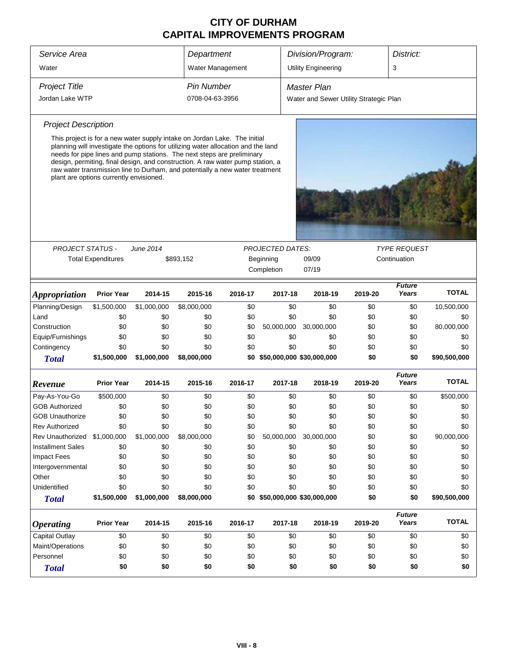| Service Area                                                                                                                                                                                                                                                                                                                                                                                                                                          |                           |                  | Department        |         |                               | Division/Program:<br>District:         |                       |                        |              |  |  |
|-------------------------------------------------------------------------------------------------------------------------------------------------------------------------------------------------------------------------------------------------------------------------------------------------------------------------------------------------------------------------------------------------------------------------------------------------------|---------------------------|------------------|-------------------|---------|-------------------------------|----------------------------------------|-----------------------|------------------------|--------------|--|--|
| Water                                                                                                                                                                                                                                                                                                                                                                                                                                                 |                           |                  | Water Management  |         |                               | <b>Utility Engineering</b>             |                       | 3                      |              |  |  |
| <b>Project Title</b>                                                                                                                                                                                                                                                                                                                                                                                                                                  |                           |                  | <b>Pin Number</b> |         |                               | <b>Master Plan</b>                     |                       |                        |              |  |  |
| Jordan Lake WTP                                                                                                                                                                                                                                                                                                                                                                                                                                       |                           |                  | 0708-04-63-3956   |         |                               | Water and Sewer Utility Strategic Plan |                       |                        |              |  |  |
| <b>Project Description</b>                                                                                                                                                                                                                                                                                                                                                                                                                            |                           |                  |                   |         |                               |                                        |                       |                        |              |  |  |
| This project is for a new water supply intake on Jordan Lake. The initial<br>planning will investigate the options for utilizing water allocation and the land<br>needs for pipe lines and pump stations. The next steps are preliminary<br>design, permiting, final design, and construction. A raw water pump station, a<br>raw water transmission line to Durham, and potentially a new water treatment<br>plant are options currently envisioned. |                           |                  |                   |         |                               |                                        |                       |                        |              |  |  |
|                                                                                                                                                                                                                                                                                                                                                                                                                                                       |                           |                  |                   |         |                               |                                        |                       |                        |              |  |  |
| <b>PROJECT STATUS -</b>                                                                                                                                                                                                                                                                                                                                                                                                                               |                           | <b>June 2014</b> |                   |         | <b>PROJECTED DATES:</b>       |                                        |                       | <i>TYPE REQUEST</i>    |              |  |  |
|                                                                                                                                                                                                                                                                                                                                                                                                                                                       | <b>Total Expenditures</b> |                  | \$893,152         |         | Beginning<br>Completion       | 07/19                                  | 09/09<br>Continuation |                        |              |  |  |
| <i><b>Appropriation</b></i>                                                                                                                                                                                                                                                                                                                                                                                                                           | <b>Prior Year</b>         | 2014-15          | 2015-16           | 2016-17 | 2017-18                       | 2018-19                                | 2019-20               | <b>Future</b><br>Years | <b>TOTAL</b> |  |  |
| Planning/Design                                                                                                                                                                                                                                                                                                                                                                                                                                       | \$1,500,000               | \$1,000,000      | \$8,000,000       | \$0     | \$0                           | \$0                                    | \$0                   | \$0                    | 10,500,000   |  |  |
| Land                                                                                                                                                                                                                                                                                                                                                                                                                                                  | \$0                       | \$0              | \$0               | \$0     | \$0                           | \$0                                    | \$0                   | \$0                    | \$0          |  |  |
| Construction                                                                                                                                                                                                                                                                                                                                                                                                                                          | \$0                       | \$0              | \$0               | \$0     | 50,000,000                    | 30,000,000                             | \$0                   | \$0                    | 80,000,000   |  |  |
| Equip/Furnishings                                                                                                                                                                                                                                                                                                                                                                                                                                     | \$0                       | \$0              | \$0               | \$0     | \$0                           | \$0                                    | \$0                   | \$0                    | \$0          |  |  |
| Contingency                                                                                                                                                                                                                                                                                                                                                                                                                                           | \$0                       | \$0              | \$0               | \$0     | \$0                           | \$0                                    | \$0                   | \$0                    | \$0          |  |  |
| <b>Total</b>                                                                                                                                                                                                                                                                                                                                                                                                                                          | \$1,500,000               | \$1,000,000      | \$8,000,000       |         | \$0 \$50,000,000 \$30,000,000 |                                        | \$0                   | \$0                    | \$90,500,000 |  |  |
| Revenue                                                                                                                                                                                                                                                                                                                                                                                                                                               | <b>Prior Year</b>         | 2014-15          | 2015-16           | 2016-17 | 2017-18                       | 2018-19                                | 2019-20               | <b>Future</b><br>Years | <b>TOTAL</b> |  |  |
| Pay-As-You-Go                                                                                                                                                                                                                                                                                                                                                                                                                                         | \$500,000                 | \$0              | \$0               | \$0     | \$0                           | \$0                                    | \$0                   | \$0                    | \$500,000    |  |  |
| <b>GOB Authorized</b>                                                                                                                                                                                                                                                                                                                                                                                                                                 | \$0                       | \$0              | \$0               | \$0     | \$0                           | \$0                                    | \$0                   | \$0                    | \$0          |  |  |
| <b>GOB Unauthorize</b>                                                                                                                                                                                                                                                                                                                                                                                                                                | \$0                       | \$0              | \$0               | \$0     | \$0                           | \$0                                    | \$0                   | \$0                    | \$0          |  |  |
| <b>Rev Authorized</b>                                                                                                                                                                                                                                                                                                                                                                                                                                 | \$0                       | \$0              | \$0               | \$0     | \$0                           | \$0                                    | \$0                   | \$0                    | \$0          |  |  |
| Rev Unauthorized                                                                                                                                                                                                                                                                                                                                                                                                                                      | \$1,000,000               | \$1,000,000      | \$8,000,000       | \$0     | 50,000,000                    | 30,000,000                             | \$0                   | \$0                    | 90,000,000   |  |  |
| <b>Installment Sales</b>                                                                                                                                                                                                                                                                                                                                                                                                                              | \$0                       | \$0              | \$0               | \$0     | \$0                           | \$0                                    | \$0                   | \$0                    | \$0          |  |  |
| <b>Impact Fees</b>                                                                                                                                                                                                                                                                                                                                                                                                                                    | \$0                       | \$0              | \$0               | \$0     | \$0                           | \$0                                    | \$0                   | \$0                    | \$0          |  |  |
| Intergovernmental                                                                                                                                                                                                                                                                                                                                                                                                                                     | \$0                       | \$0              | \$0               | \$0     | \$0                           | \$0                                    | \$0                   | \$0                    | \$0          |  |  |
| Other                                                                                                                                                                                                                                                                                                                                                                                                                                                 | \$0                       | \$0              | \$0               | \$0     | \$0                           | \$0                                    | \$0                   | \$0                    | \$0          |  |  |
| Unidentified                                                                                                                                                                                                                                                                                                                                                                                                                                          | \$0                       | \$0              | \$0               | \$0     | \$0                           | \$0                                    | \$0                   | \$0                    | \$0          |  |  |
| <b>Total</b>                                                                                                                                                                                                                                                                                                                                                                                                                                          | \$1,500,000               | \$1,000,000      | \$8,000,000       |         | \$0 \$50,000,000 \$30,000,000 |                                        | \$0                   | \$0                    | \$90,500,000 |  |  |
| <i><b>Operating</b></i>                                                                                                                                                                                                                                                                                                                                                                                                                               | <b>Prior Year</b>         | 2014-15          | 2015-16           | 2016-17 | 2017-18                       | 2018-19                                | 2019-20               | <b>Future</b><br>Years | <b>TOTAL</b> |  |  |
| Capital Outlay                                                                                                                                                                                                                                                                                                                                                                                                                                        | \$0                       | \$0              | \$0               | \$0     | \$0                           | \$0                                    | \$0                   | \$0                    | \$0          |  |  |
| Maint/Operations                                                                                                                                                                                                                                                                                                                                                                                                                                      | \$0                       | \$0              | \$0               | \$0     | \$0                           | \$0                                    | \$0                   | \$0                    | \$0          |  |  |
| Personnel                                                                                                                                                                                                                                                                                                                                                                                                                                             | \$0                       | \$0              | \$0               | \$0     | \$0                           | \$0                                    | \$0                   | \$0                    | \$0          |  |  |
| <b>Total</b>                                                                                                                                                                                                                                                                                                                                                                                                                                          | \$0                       | \$0              | \$0               | \$0     | \$0                           | \$0                                    | \$0                   | \$0                    | \$0          |  |  |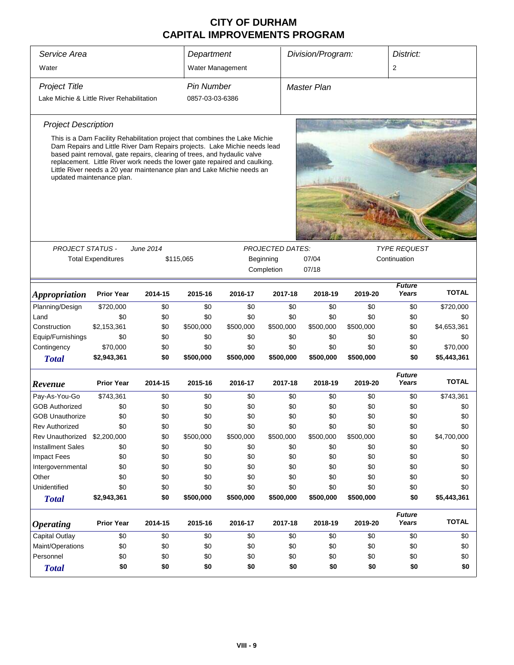| Service Area                              |                                                                                                                                                                                                                                                                                                                                                                                                                           |            | Department        |                  |                         | Division/Program:                            |                  | District:              |                         |
|-------------------------------------------|---------------------------------------------------------------------------------------------------------------------------------------------------------------------------------------------------------------------------------------------------------------------------------------------------------------------------------------------------------------------------------------------------------------------------|------------|-------------------|------------------|-------------------------|----------------------------------------------|------------------|------------------------|-------------------------|
| Water                                     |                                                                                                                                                                                                                                                                                                                                                                                                                           |            | Water Management  |                  |                         |                                              |                  | 2                      |                         |
| <b>Project Title</b>                      |                                                                                                                                                                                                                                                                                                                                                                                                                           |            | <b>Pin Number</b> |                  |                         | <b>Master Plan</b>                           |                  |                        |                         |
| Lake Michie & Little River Rehabilitation |                                                                                                                                                                                                                                                                                                                                                                                                                           |            | 0857-03-03-6386   |                  |                         |                                              |                  |                        |                         |
| <b>Project Description</b>                |                                                                                                                                                                                                                                                                                                                                                                                                                           |            |                   |                  |                         |                                              |                  |                        |                         |
|                                           | This is a Dam Facility Rehabilitation project that combines the Lake Michie<br>Dam Repairs and Little River Dam Repairs projects. Lake Michie needs lead<br>based paint removal, gate repairs, clearing of trees, and hydaulic valve<br>replacement. Little River work needs the lower gate repaired and caulking.<br>Little River needs a 20 year maintenance plan and Lake Michie needs an<br>updated maintenance plan. |            |                   |                  |                         |                                              |                  |                        |                         |
| <b>PROJECT STATUS -</b>                   |                                                                                                                                                                                                                                                                                                                                                                                                                           | June 2014  |                   |                  | <b>PROJECTED DATES:</b> |                                              |                  |                        |                         |
|                                           | <b>Total Expenditures</b>                                                                                                                                                                                                                                                                                                                                                                                                 |            | \$115,065         |                  | Beginning               | <b>TYPE REQUEST</b><br>07/04<br>Continuation |                  |                        |                         |
|                                           |                                                                                                                                                                                                                                                                                                                                                                                                                           |            |                   |                  | Completion              | 07/18                                        |                  |                        |                         |
| <i><b>Appropriation</b></i>               | <b>Prior Year</b>                                                                                                                                                                                                                                                                                                                                                                                                         | 2014-15    | 2015-16           | 2016-17          | 2017-18                 | 2018-19                                      | 2019-20          | <b>Future</b><br>Years | <b>TOTAL</b>            |
| Planning/Design                           | \$720,000                                                                                                                                                                                                                                                                                                                                                                                                                 | \$0        | \$0               | \$0              | \$0                     | \$0                                          | \$0              | \$0                    | \$720,000               |
| Land                                      | \$0                                                                                                                                                                                                                                                                                                                                                                                                                       | \$0        | \$0               | \$0              | \$0                     | \$0                                          | \$0              | \$0                    | \$0                     |
| Construction                              | \$2,153,361                                                                                                                                                                                                                                                                                                                                                                                                               | \$0        | \$500,000         | \$500,000        | \$500,000               | \$500,000                                    | \$500,000        | \$0                    |                         |
|                                           |                                                                                                                                                                                                                                                                                                                                                                                                                           |            |                   |                  |                         |                                              |                  |                        | \$4,653,361             |
| Equip/Furnishings                         | \$0                                                                                                                                                                                                                                                                                                                                                                                                                       | \$0        | \$0               | \$0              | \$0                     | \$0                                          | \$0              | \$0                    | \$0                     |
| Contingency<br><b>Total</b>               | \$70,000<br>\$2,943,361                                                                                                                                                                                                                                                                                                                                                                                                   | \$0<br>\$0 | \$0<br>\$500,000  | \$0<br>\$500,000 | \$0<br>\$500,000        | \$0<br>\$500,000                             | \$0<br>\$500,000 | \$0<br>\$0             | \$70,000<br>\$5,443,361 |
| Revenue                                   | <b>Prior Year</b>                                                                                                                                                                                                                                                                                                                                                                                                         | 2014-15    | 2015-16           | 2016-17          | 2017-18                 | 2018-19                                      | 2019-20          | <b>Future</b><br>Years | <b>TOTAL</b>            |
| Pay-As-You-Go                             | \$743,361                                                                                                                                                                                                                                                                                                                                                                                                                 | \$0        | \$0               | \$0              | \$0                     | \$0                                          | \$0              | \$0                    | \$743,361               |
| <b>GOB Authorized</b>                     | \$0                                                                                                                                                                                                                                                                                                                                                                                                                       | \$0        | \$0               | \$0              | \$0                     | \$0                                          | \$0              | \$0                    | \$0                     |
| <b>GOB Unauthorize</b>                    | \$0                                                                                                                                                                                                                                                                                                                                                                                                                       | \$0        | \$0               | \$0              | \$0                     | \$0                                          | \$0              | \$0                    | \$0                     |
| Rev Authorized                            | \$0                                                                                                                                                                                                                                                                                                                                                                                                                       | \$0        | \$0               | \$0              | \$0                     | \$0                                          | \$0              | \$0                    | \$0                     |
| Rev Unauthorized                          | \$2,200,000                                                                                                                                                                                                                                                                                                                                                                                                               | \$0        | \$500,000         | \$500,000        | \$500,000               | \$500,000                                    | \$500,000        | \$0                    | \$4,700,000             |
| <b>Installment Sales</b>                  | \$0                                                                                                                                                                                                                                                                                                                                                                                                                       | \$0        | \$0               | \$0              | \$0                     | \$0                                          | \$0              | \$0                    | \$0                     |
| <b>Impact Fees</b>                        | \$0                                                                                                                                                                                                                                                                                                                                                                                                                       | \$0        | \$0               | \$0              | \$0                     | \$0                                          | \$0              | \$0                    | \$0                     |
| Intergovernmental                         | \$0                                                                                                                                                                                                                                                                                                                                                                                                                       | \$0        | \$0               | \$0              | \$0                     | \$0                                          | \$0              | \$0                    | \$0                     |
| Other                                     | \$0                                                                                                                                                                                                                                                                                                                                                                                                                       | \$0        | \$0               | \$0              | \$0                     | \$0                                          | \$0              | \$0                    | \$0                     |
| Unidentified                              | \$0                                                                                                                                                                                                                                                                                                                                                                                                                       | \$0        | \$0               | \$0              | \$0                     | \$0                                          | \$0              | \$0                    | \$0                     |
| <b>Total</b>                              | \$2,943,361                                                                                                                                                                                                                                                                                                                                                                                                               | \$0        | \$500,000         | \$500,000        | \$500,000               | \$500,000                                    | \$500,000        | \$0                    | \$5,443,361             |
| <i><b>Operating</b></i>                   | <b>Prior Year</b>                                                                                                                                                                                                                                                                                                                                                                                                         | 2014-15    | 2015-16           | 2016-17          | 2017-18                 | 2018-19                                      | 2019-20          | <b>Future</b><br>Years | <b>TOTAL</b>            |
| <b>Capital Outlay</b>                     | \$0                                                                                                                                                                                                                                                                                                                                                                                                                       | \$0        | \$0               | \$0              | \$0                     | \$0                                          | \$0              | \$0                    | \$0                     |
| Maint/Operations                          | \$0                                                                                                                                                                                                                                                                                                                                                                                                                       | \$0        | \$0               | \$0              | \$0                     | \$0                                          | \$0              | \$0                    | \$0                     |
| Personnel                                 | \$0                                                                                                                                                                                                                                                                                                                                                                                                                       | \$0        | \$0               | \$0              | \$0                     | \$0                                          | \$0              | \$0                    | \$0                     |
| <b>Total</b>                              | \$0                                                                                                                                                                                                                                                                                                                                                                                                                       | \$0        | \$0               | \$0              | \$0                     | \$0                                          | \$0              | \$0                    | \$0                     |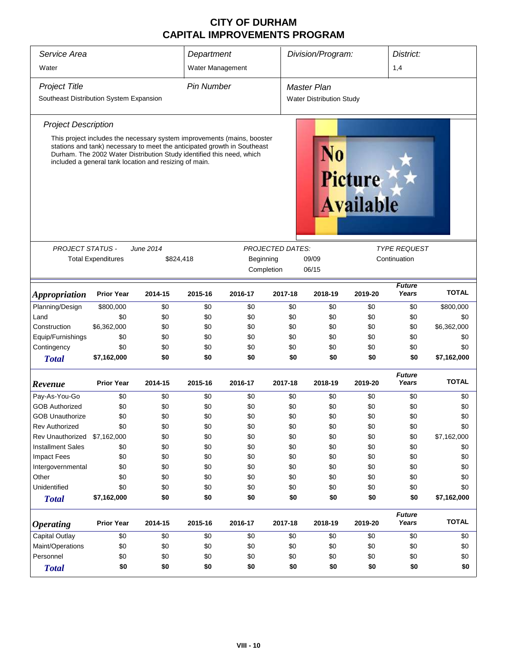| Service Area                                                                                                                      |                                                                                                                                                                                                                                                                                        |                               | Department        |                                      |                             | Division/Program:               |              | District:              |              |  |
|-----------------------------------------------------------------------------------------------------------------------------------|----------------------------------------------------------------------------------------------------------------------------------------------------------------------------------------------------------------------------------------------------------------------------------------|-------------------------------|-------------------|--------------------------------------|-----------------------------|---------------------------------|--------------|------------------------|--------------|--|
| Water                                                                                                                             |                                                                                                                                                                                                                                                                                        |                               | Water Management  |                                      |                             |                                 |              | 1,4                    |              |  |
| <b>Project Title</b><br>Southeast Distribution System Expansion                                                                   |                                                                                                                                                                                                                                                                                        |                               | <b>Pin Number</b> |                                      |                             | <b>Master Plan</b>              |              |                        |              |  |
|                                                                                                                                   |                                                                                                                                                                                                                                                                                        |                               |                   |                                      |                             | <b>Water Distribution Study</b> |              |                        |              |  |
| <b>Project Description</b>                                                                                                        |                                                                                                                                                                                                                                                                                        |                               |                   |                                      |                             |                                 |              |                        |              |  |
|                                                                                                                                   | This project includes the necessary system improvements (mains, booster<br>stations and tank) necessary to meet the anticipated growth in Southeast<br>Durham. The 2002 Water Distribution Study identified this need, which<br>included a general tank location and resizing of main. |                               |                   |                                      | Picture<br><b>Available</b> |                                 |              |                        |              |  |
| <b>PROJECT STATUS -</b>                                                                                                           |                                                                                                                                                                                                                                                                                        |                               |                   |                                      |                             |                                 |              | <b>TYPE REQUEST</b>    |              |  |
|                                                                                                                                   | <b>Total Expenditures</b>                                                                                                                                                                                                                                                              | <b>June 2014</b><br>\$824,418 |                   | <b>PROJECTED DATES:</b><br>Beginning | 09/09                       |                                 | Continuation |                        |              |  |
|                                                                                                                                   |                                                                                                                                                                                                                                                                                        |                               |                   | Completion                           |                             | 06/15                           |              |                        |              |  |
| <i><b>Appropriation</b></i>                                                                                                       | <b>Prior Year</b>                                                                                                                                                                                                                                                                      | 2014-15                       | 2015-16           | 2016-17                              | 2017-18                     | 2018-19                         | 2019-20      | <b>Future</b><br>Years | <b>TOTAL</b> |  |
| Planning/Design                                                                                                                   | \$800,000                                                                                                                                                                                                                                                                              | \$0                           | \$0               | \$0                                  | \$0                         | \$0                             | \$0          | \$0                    | \$800,000    |  |
| Land                                                                                                                              | \$0                                                                                                                                                                                                                                                                                    | \$0                           | \$0               | \$0                                  | \$0                         | \$0                             | \$0          | \$0                    | \$0          |  |
| Construction                                                                                                                      | \$6,362,000                                                                                                                                                                                                                                                                            | \$0                           | \$0               | \$0                                  | \$0                         | \$0                             | \$0          | \$0                    | \$6,362,000  |  |
| Equip/Furnishings                                                                                                                 | \$0                                                                                                                                                                                                                                                                                    | \$0                           | \$0               | \$0                                  | \$0                         | \$0                             | \$0          | \$0                    | \$0          |  |
| Contingency                                                                                                                       | \$0                                                                                                                                                                                                                                                                                    | \$0                           | \$0               | \$0                                  | \$0                         | \$0                             | \$0          | \$0                    | \$0          |  |
| <b>Total</b>                                                                                                                      | \$7,162,000                                                                                                                                                                                                                                                                            | \$0                           | \$0               | \$0                                  | \$0                         | \$0                             | \$0          | \$0                    | \$7,162,000  |  |
| Revenue                                                                                                                           | <b>Prior Year</b>                                                                                                                                                                                                                                                                      | 2014-15                       | 2015-16           | 2016-17                              | 2017-18                     | 2018-19                         | 2019-20      | <b>Future</b><br>Years | <b>TOTAL</b> |  |
| Pay-As-You-Go                                                                                                                     | \$0                                                                                                                                                                                                                                                                                    | \$0                           | \$0               | \$0                                  | \$0                         | \$0                             | \$0          | \$0                    | \$0          |  |
| <b>GOB Authorized</b>                                                                                                             | \$0                                                                                                                                                                                                                                                                                    | \$0                           | \$0               | \$0                                  | \$0                         | \$0                             | \$0          | \$0                    | \$0          |  |
| <b>GOB Unauthorize</b>                                                                                                            | \$0                                                                                                                                                                                                                                                                                    | \$0                           | \$0               | \$0                                  | \$0                         | \$0                             | \$0          | \$0                    | \$0          |  |
| <b>Rev Authorized</b>                                                                                                             | \$0                                                                                                                                                                                                                                                                                    | \$0                           | \$0               | \$0                                  | \$0                         | \$0                             | \$0          | \$0                    | \$0          |  |
| Rev Unauthorized                                                                                                                  | \$7,162,000                                                                                                                                                                                                                                                                            | \$0                           | \$0               | \$0                                  | \$0                         | \$0                             | \$0          | \$0                    | \$7,162,000  |  |
| <b>Installment Sales</b>                                                                                                          | \$0                                                                                                                                                                                                                                                                                    | \$0                           | \$0               | \$0                                  | \$0                         | \$0                             | \$0          | \$0                    | \$0          |  |
| <b>Impact Fees</b>                                                                                                                | \$0                                                                                                                                                                                                                                                                                    | \$0                           | \$0               | \$0                                  | \$0                         | \$0                             | \$0          | \$0                    | \$0          |  |
| Intergovernmental                                                                                                                 | \$0                                                                                                                                                                                                                                                                                    | \$0                           | \$0               | \$0                                  | \$0                         | \$0                             | \$0          | \$0                    | \$0          |  |
| Other                                                                                                                             | \$0                                                                                                                                                                                                                                                                                    | \$0                           | \$0               | \$0                                  | \$0                         | \$0                             | \$0          | \$0                    | \$0          |  |
| Unidentified                                                                                                                      | \$0                                                                                                                                                                                                                                                                                    | \$0                           | \$0               | \$0                                  | \$0                         | \$0                             | \$0          | \$0                    | \$0          |  |
| <b>Total</b>                                                                                                                      | \$7,162,000                                                                                                                                                                                                                                                                            | \$0                           | \$0               | \$0                                  | \$0                         | \$0                             | \$0          | \$0                    | \$7,162,000  |  |
| <b>Future</b><br>Years<br><b>Prior Year</b><br>2015-16<br>2014-15<br>2016-17<br>2017-18<br>2018-19<br>2019-20<br><b>Operating</b> |                                                                                                                                                                                                                                                                                        |                               |                   |                                      |                             | <b>TOTAL</b>                    |              |                        |              |  |
| Capital Outlay                                                                                                                    | \$0                                                                                                                                                                                                                                                                                    | \$0                           | \$0               | \$0                                  | \$0                         | \$0                             | \$0          | \$0                    | \$0          |  |
| Maint/Operations                                                                                                                  | \$0                                                                                                                                                                                                                                                                                    | \$0                           | \$0               | \$0                                  | \$0                         | \$0                             | \$0          | \$0                    | \$0          |  |
| Personnel                                                                                                                         | \$0                                                                                                                                                                                                                                                                                    | \$0                           | \$0               | \$0                                  | \$0                         | \$0                             | \$0          | \$0                    | \$0          |  |
| <b>Total</b>                                                                                                                      | \$0<br>\$0<br>\$0<br>\$0<br>\$0<br>\$0<br>\$0<br>\$0                                                                                                                                                                                                                                   |                               |                   |                                      |                             |                                 |              |                        |              |  |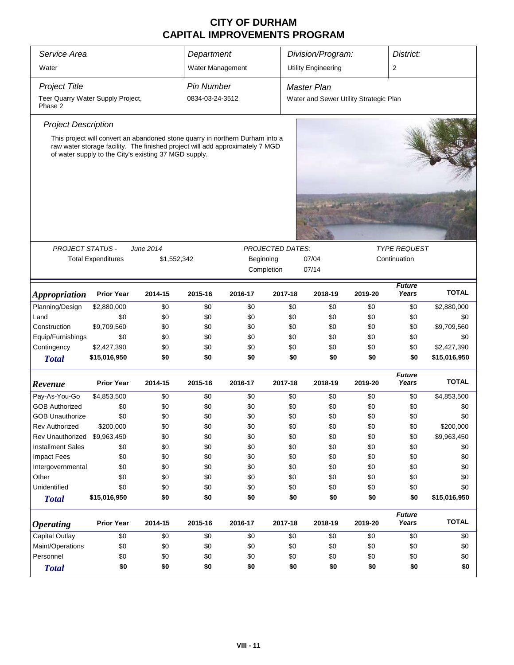| Service Area                                 | Division/Program:<br>Department                                                                                                                                                                                         |             |                   |           | District:               |     |                                        |         |                        |              |
|----------------------------------------------|-------------------------------------------------------------------------------------------------------------------------------------------------------------------------------------------------------------------------|-------------|-------------------|-----------|-------------------------|-----|----------------------------------------|---------|------------------------|--------------|
| Water                                        |                                                                                                                                                                                                                         |             | Water Management  |           |                         |     | <b>Utility Engineering</b>             |         | 2                      |              |
| <b>Project Title</b>                         |                                                                                                                                                                                                                         |             | <b>Pin Number</b> |           |                         |     | <b>Master Plan</b>                     |         |                        |              |
| Teer Quarry Water Supply Project,<br>Phase 2 |                                                                                                                                                                                                                         |             | 0834-03-24-3512   |           |                         |     | Water and Sewer Utility Strategic Plan |         |                        |              |
| <b>Project Description</b>                   |                                                                                                                                                                                                                         |             |                   |           |                         |     |                                        |         |                        |              |
|                                              | This project will convert an abandoned stone quarry in northern Durham into a<br>raw water storage facility. The finished project will add approximately 7 MGD<br>of water supply to the City's existing 37 MGD supply. |             |                   |           |                         |     |                                        |         |                        |              |
|                                              |                                                                                                                                                                                                                         |             |                   |           |                         |     |                                        |         |                        |              |
| <b>PROJECT STATUS -</b>                      |                                                                                                                                                                                                                         | June 2014   |                   |           | <b>TYPE REQUEST</b>     |     |                                        |         |                        |              |
|                                              | <b>Total Expenditures</b>                                                                                                                                                                                               | \$1,552,342 |                   | Beginning | <b>PROJECTED DATES:</b> |     | 07/04                                  |         | Continuation           |              |
|                                              |                                                                                                                                                                                                                         |             |                   |           | Completion              |     | 07/14                                  |         |                        |              |
| <i><b>Appropriation</b></i>                  | <b>Prior Year</b>                                                                                                                                                                                                       | 2014-15     | 2015-16           | 2016-17   | 2017-18                 |     | 2018-19                                | 2019-20 | <b>Future</b><br>Years | <b>TOTAL</b> |
| Planning/Design                              | \$2,880,000                                                                                                                                                                                                             | \$0         | \$0               | \$0       |                         | \$0 | \$0                                    | \$0     | \$0                    | \$2,880,000  |
| Land                                         | \$0                                                                                                                                                                                                                     | \$0         | \$0               | \$0       |                         | \$0 | \$0                                    | \$0     | \$0                    | \$0          |
| Construction                                 | \$9,709,560                                                                                                                                                                                                             | \$0         | \$0               | \$0       |                         | \$0 | \$0                                    | \$0     | \$0                    | \$9,709,560  |
| Equip/Furnishings                            | \$0                                                                                                                                                                                                                     | \$0         | \$0               | \$0       |                         | \$0 | \$0                                    | \$0     | \$0                    | \$0          |
| Contingency                                  | \$2,427,390                                                                                                                                                                                                             | \$0         | \$0               | \$0       |                         | \$0 | \$0                                    | \$0     | \$0                    | \$2,427,390  |
| <b>Total</b>                                 | \$15,016,950                                                                                                                                                                                                            | \$0         | \$0               | \$0       |                         | \$0 | \$0                                    | \$0     | \$0                    | \$15,016,950 |
| Revenue                                      | <b>Prior Year</b>                                                                                                                                                                                                       | 2014-15     | 2015-16           | 2016-17   | 2017-18                 |     | 2018-19                                | 2019-20 | <b>Future</b><br>Years | <b>TOTAL</b> |
| Pay-As-You-Go                                | \$4,853,500                                                                                                                                                                                                             | \$0         | \$0               | \$0       |                         | \$0 | \$0                                    | \$0     | \$0                    | \$4,853,500  |
| <b>GOB Authorized</b>                        | \$0                                                                                                                                                                                                                     | \$0         | \$0               | \$0       |                         | \$0 | \$0                                    | \$0     | \$0                    | \$0          |
| <b>GOB Unauthorize</b>                       | \$0                                                                                                                                                                                                                     | \$0         | \$0               | \$0       |                         | \$0 | \$0                                    | \$0     | \$0                    | \$0          |
| Rev Authorized                               | \$200,000                                                                                                                                                                                                               | \$0         | \$0               | \$0       |                         | \$0 | \$0                                    | \$0     | \$0                    | \$200,000    |
| Rev Unauthorized                             | \$9,963,450                                                                                                                                                                                                             | \$0         | \$0               | \$0       |                         | \$0 | \$0                                    | \$0     | \$0                    | \$9,963,450  |
| <b>Installment Sales</b>                     | \$0                                                                                                                                                                                                                     | \$0         | \$0               | \$0       |                         | \$0 | \$0                                    | \$0     | \$0                    | \$0          |
| <b>Impact Fees</b>                           | \$0                                                                                                                                                                                                                     | \$0         | \$0               | \$0       |                         | \$0 | \$0                                    | \$0     | \$0                    | \$0          |
| Intergovernmental                            | \$0                                                                                                                                                                                                                     | \$0         | \$0               | \$0       |                         | \$0 | \$0                                    | \$0     | \$0                    | \$0          |
| Other                                        | \$0                                                                                                                                                                                                                     | \$0         | \$0               | \$0       |                         | \$0 | \$0                                    | \$0     | \$0                    | \$0          |
| Unidentified                                 | \$0                                                                                                                                                                                                                     | \$0         | \$0               | \$0       |                         | \$0 | \$0                                    | \$0     | \$0                    | \$0          |
| <b>Total</b>                                 | \$15,016,950                                                                                                                                                                                                            | \$0         | \$0               | \$0       |                         | \$0 | \$0                                    | \$0     | \$0                    | \$15,016,950 |
| <b>Operating</b>                             | <b>Prior Year</b>                                                                                                                                                                                                       | 2014-15     | 2015-16           | 2016-17   | 2017-18                 |     | 2018-19                                | 2019-20 | <b>Future</b><br>Years | <b>TOTAL</b> |
| <b>Capital Outlay</b>                        | \$0                                                                                                                                                                                                                     | \$0         | \$0               | \$0       |                         | \$0 | \$0                                    | \$0     | \$0                    | \$0          |
| Maint/Operations                             | \$0                                                                                                                                                                                                                     | \$0         | \$0               | \$0       |                         | \$0 | \$0                                    | \$0     | \$0                    | \$0          |
| Personnel                                    | \$0                                                                                                                                                                                                                     | \$0         | \$0               | \$0       |                         | \$0 | \$0                                    | \$0     | \$0                    | \$0          |
| <b>Total</b>                                 | \$0                                                                                                                                                                                                                     | \$0         | \$0               | \$0       |                         | \$0 | \$0                                    | \$0     | \$0                    | \$0          |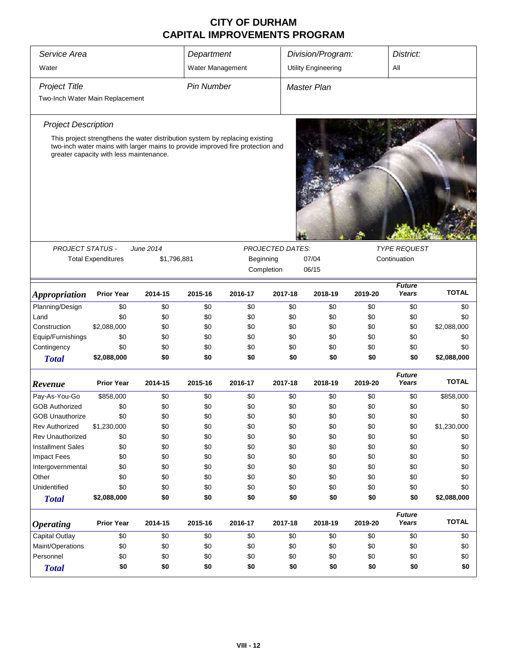| Service Area                    |                                                                                                                           |             | Department        |           |                         | Division/Program:          |         | District:              |              |  |
|---------------------------------|---------------------------------------------------------------------------------------------------------------------------|-------------|-------------------|-----------|-------------------------|----------------------------|---------|------------------------|--------------|--|
| Water                           |                                                                                                                           |             | Water Management  |           |                         | <b>Utility Engineering</b> |         | All                    |              |  |
|                                 |                                                                                                                           |             |                   |           |                         |                            |         |                        |              |  |
| <b>Project Title</b>            |                                                                                                                           |             | <b>Pin Number</b> |           |                         | Master Plan                |         |                        |              |  |
| Two-Inch Water Main Replacement |                                                                                                                           |             |                   |           |                         |                            |         |                        |              |  |
| <b>Project Description</b>      |                                                                                                                           |             |                   |           |                         |                            |         |                        |              |  |
|                                 | This project strengthens the water distribution system by replacing existing                                              |             |                   |           |                         |                            |         |                        |              |  |
|                                 | two-inch water mains with larger mains to provide improved fire protection and<br>greater capacity with less maintenance. |             |                   |           |                         |                            |         |                        |              |  |
|                                 |                                                                                                                           |             |                   |           |                         |                            |         |                        |              |  |
| <b>PROJECT STATUS -</b>         |                                                                                                                           | June 2014   |                   |           | <b>PROJECTED DATES:</b> |                            |         | <b>TYPE REQUEST</b>    |              |  |
|                                 | <b>Total Expenditures</b>                                                                                                 | \$1,796,881 |                   | Beginning |                         | 07/04                      |         | Continuation           |              |  |
|                                 |                                                                                                                           |             |                   |           | Completion              | 06/15                      |         |                        |              |  |
| <b>Appropriation</b>            | <b>Prior Year</b>                                                                                                         | 2014-15     | 2015-16           | 2016-17   | 2017-18                 | 2018-19                    | 2019-20 | <b>Future</b><br>Years | <b>TOTAL</b> |  |
| Planning/Design                 | \$0                                                                                                                       | \$0         | \$0               | \$0       | \$0                     | \$0                        | \$0     | \$0                    | \$0          |  |
| Land                            | \$0                                                                                                                       | \$0         | \$0               | \$0       | \$0                     | \$0                        | \$0     | \$0                    | \$0          |  |
| Construction                    | \$2,088,000                                                                                                               | \$0         | \$0               | \$0       | \$0                     | \$0                        | \$0     | \$0                    | \$2,088,000  |  |
| Equip/Furnishings               | \$0                                                                                                                       | \$0         | \$0               | \$0       | \$0                     | \$0                        | \$0     | \$0                    | \$0          |  |
| Contingency                     | \$0                                                                                                                       | \$0         | \$0               | \$0       | \$0                     | \$0                        | \$0     | \$0                    | \$0          |  |
| <b>Total</b>                    | \$2,088,000                                                                                                               | \$0         | \$0               | \$0       | \$0                     | \$0                        | \$0     | \$0                    | \$2,088,000  |  |
| Revenue                         | <b>Prior Year</b>                                                                                                         | 2014-15     | 2015-16           | 2016-17   | 2017-18                 | 2018-19                    | 2019-20 | <b>Future</b><br>Years | <b>TOTAL</b> |  |
| Pay-As-You-Go                   | \$858,000                                                                                                                 | \$0         | \$0               | \$0       | \$0                     | \$0                        | \$0     | \$0                    | \$858,000    |  |
| <b>GOB Authorized</b>           | \$0                                                                                                                       | \$0         | \$0               | \$0       | \$0                     | \$0                        | \$0     | \$0                    | \$0          |  |
| <b>GOB Unauthorize</b>          | \$0                                                                                                                       | \$0         | \$0               | \$0       | \$0                     | \$0                        | \$0     | \$0                    | \$0          |  |
| Rev Authorized                  | \$1,230,000                                                                                                               | \$0         | \$0               | \$0       | \$0                     | \$0                        | \$0     | \$0                    | \$1,230,000  |  |
| Rev Unauthorized                | \$0                                                                                                                       | \$0         | \$0               | \$0       | \$0                     | \$0                        | \$0     | \$0                    | \$0          |  |
| <b>Installment Sales</b>        | \$0                                                                                                                       | \$0         | \$0               | \$0       | \$0                     | \$0                        | \$0     | \$0                    | \$0          |  |
| <b>Impact Fees</b>              | \$0                                                                                                                       | \$0         | \$0               | \$0       | \$0                     | \$0                        | \$0     | \$0                    | \$0          |  |
| Intergovernmental               | \$0                                                                                                                       | \$0         | \$0               | \$0       | \$0                     | \$0                        | \$0     | \$0                    | \$0          |  |
| Other                           | \$0                                                                                                                       | \$0         | \$0               | \$0       | \$0                     | \$0                        | \$0     | \$0                    | \$0          |  |
| Unidentified                    | \$0                                                                                                                       | \$0         | \$0               | \$0       | \$0                     | \$0                        | \$0     | \$0                    | \$0          |  |
| <b>Total</b>                    | \$2,088,000                                                                                                               | \$0         | \$0               | \$0       | \$0                     | \$0                        | \$0     | \$0                    | \$2,088,000  |  |
| <b>Operating</b>                | <b>Prior Year</b>                                                                                                         | 2014-15     | 2015-16           | 2016-17   | 2017-18                 | 2018-19                    | 2019-20 | <b>Future</b><br>Years | <b>TOTAL</b> |  |
| Capital Outlay                  | \$0                                                                                                                       | \$0         | \$0               | \$0       | \$0                     | \$0                        | \$0     | \$0                    | \$0          |  |
| Maint/Operations                | \$0                                                                                                                       | \$0         | \$0               | \$0       | \$0                     | \$0                        | \$0     | \$0                    | \$0          |  |
| Personnel                       | \$0                                                                                                                       | \$0         | \$0               | \$0       | \$0                     | \$0                        | \$0     | \$0                    | \$0          |  |
| <b>Total</b>                    | \$0                                                                                                                       | \$0         | \$0               | \$0       | \$0                     | \$0                        | \$0     | \$0                    | \$0          |  |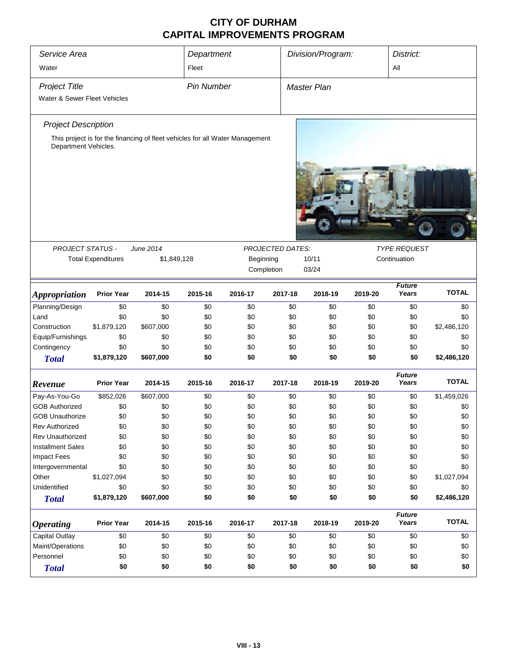| Service Area                 |                           |                                                                              | Department |                    |                         | Division/Program: |         |                        | District:    |  |
|------------------------------|---------------------------|------------------------------------------------------------------------------|------------|--------------------|-------------------------|-------------------|---------|------------------------|--------------|--|
| Water                        |                           |                                                                              | Fleet      |                    |                         |                   | All     |                        |              |  |
| <b>Project Title</b>         | <b>Pin Number</b>         |                                                                              |            | <b>Master Plan</b> |                         |                   |         |                        |              |  |
| Water & Sewer Fleet Vehicles |                           |                                                                              |            |                    |                         |                   |         |                        |              |  |
|                              |                           |                                                                              |            |                    |                         |                   |         |                        |              |  |
| <b>Project Description</b>   |                           |                                                                              |            |                    |                         |                   |         |                        |              |  |
| Department Vehicles.         |                           | This project is for the financing of fleet vehicles for all Water Management |            |                    |                         |                   |         |                        |              |  |
|                              |                           |                                                                              |            |                    |                         |                   |         |                        |              |  |
|                              |                           |                                                                              |            |                    |                         |                   |         |                        |              |  |
| <b>PROJECT STATUS -</b>      |                           | <b>June 2014</b>                                                             |            |                    | <b>PROJECTED DATES:</b> |                   |         | <b>TYPE REQUEST</b>    |              |  |
|                              | <b>Total Expenditures</b> | \$1,849,128                                                                  |            | Beginning          |                         | 10/11             |         | Continuation           |              |  |
|                              |                           |                                                                              |            |                    | Completion              | 03/24             |         |                        |              |  |
| <b>Appropriation</b>         | <b>Prior Year</b>         | 2014-15                                                                      | 2015-16    | 2016-17            | 2017-18                 | 2018-19           | 2019-20 | <b>Future</b><br>Years | <b>TOTAL</b> |  |
| Planning/Design              | \$0                       | \$0                                                                          | \$0        | \$0                | \$0                     | \$0               | \$0     | \$0                    | \$0          |  |
| Land                         | \$0                       | \$0                                                                          | \$0        | \$0                | \$0                     | \$0               | \$0     | \$0                    | \$0          |  |
| Construction                 | \$1,879,120               | \$607,000                                                                    | \$0        | \$0                | \$0                     | \$0               | \$0     | \$0                    | \$2,486,120  |  |
| Equip/Furnishings            | \$0                       | \$0                                                                          | \$0        | \$0                | \$0                     | \$0               | \$0     | \$0                    | \$0          |  |
| Contingency                  | \$0                       | \$0                                                                          | \$0        | \$0                | \$0                     | \$0               | \$0     | \$0                    | \$0          |  |
| <b>Total</b>                 | \$1,879,120               | \$607,000                                                                    | \$0        | \$0                | \$0                     | \$0               | \$0     | \$0                    | \$2,486,120  |  |
| Revenue                      | <b>Prior Year</b>         | 2014-15                                                                      | 2015-16    | 2016-17            | 2017-18                 | 2018-19           | 2019-20 | <b>Future</b><br>Years | <b>TOTAL</b> |  |
| Pay-As-You-Go                | \$852,026                 | \$607,000                                                                    | \$0        | \$0                | \$0                     | \$0               | \$0     | \$0                    | \$1,459,026  |  |
| <b>GOB Authorized</b>        | \$0                       | \$0                                                                          | \$0        | \$0                | \$0                     | \$0               | \$0     | \$0                    | \$0          |  |
| <b>GOB Unauthorize</b>       | \$0                       | \$0                                                                          | \$0        | \$0                | \$0                     | \$0               | \$0     | \$0                    | \$0          |  |
| Rev Authorized               | \$0                       | \$0                                                                          | \$0        | \$0                | \$0                     | \$0               | \$0     | \$0                    | \$0          |  |
| Rev Unauthorized             | \$0                       | \$0                                                                          | \$0        | \$0                | \$0                     | \$0               | \$0     | \$0                    | \$0          |  |
| <b>Installment Sales</b>     | \$0                       | \$0                                                                          | \$0        | \$0                | \$0                     | \$0               | \$0     | \$0                    | \$0          |  |
| <b>Impact Fees</b>           | \$0                       | \$0                                                                          | \$0        | \$0                | \$0                     | \$0               | \$0     | \$0                    | \$0          |  |
| Intergovernmental            | \$0                       | \$0                                                                          | \$0        | \$0                | \$0                     | \$0               | \$0     | \$0                    | \$0          |  |
| Other                        | \$1,027,094               | \$0                                                                          | \$0        | \$0                | \$0                     | \$0               | \$0     | \$0                    | \$1,027,094  |  |
| Unidentified                 | \$0                       | \$0                                                                          | \$0        | \$0                | \$0                     | \$0               | \$0     | \$0                    | \$0          |  |
|                              | \$1,879,120               | \$607,000                                                                    | \$0        | \$0                | \$0                     | \$0               | \$0     | \$0                    | \$2,486,120  |  |
| <b>Total</b>                 |                           |                                                                              |            |                    |                         |                   |         |                        |              |  |
| <b>Operating</b>             | <b>Prior Year</b>         | 2014-15                                                                      | 2015-16    | 2016-17            | 2017-18                 | 2018-19           | 2019-20 | <b>Future</b><br>Years | <b>TOTAL</b> |  |
| Capital Outlay               | \$0                       | \$0                                                                          | \$0        | \$0                | \$0                     | \$0               | \$0     | \$0                    | \$0          |  |
| Maint/Operations             | \$0                       | \$0                                                                          | \$0        | \$0                | \$0                     | \$0               | \$0     | \$0                    | \$0          |  |
| Personnel                    | \$0                       | \$0                                                                          | \$0        | \$0                | \$0                     | \$0               | \$0     | \$0                    | \$0          |  |
| <b>Total</b>                 | \$0                       | \$0                                                                          | \$0        | \$0                | \$0                     | \$0               | \$0     | \$0                    | \$0          |  |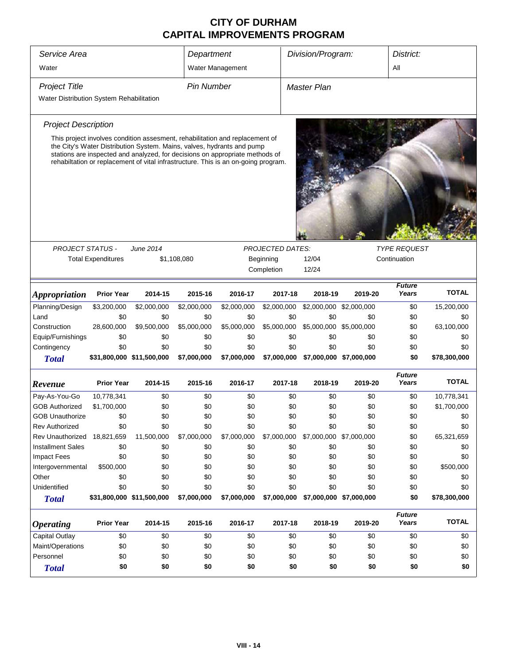| Service Area                             |                           |                                                                                                                                                                                                                                              | Department        |             |                         | Division/Program:       |         | District:              |              |
|------------------------------------------|---------------------------|----------------------------------------------------------------------------------------------------------------------------------------------------------------------------------------------------------------------------------------------|-------------------|-------------|-------------------------|-------------------------|---------|------------------------|--------------|
| Water                                    |                           | Water Management                                                                                                                                                                                                                             |                   |             |                         | All                     |         |                        |              |
| <b>Project Title</b>                     |                           |                                                                                                                                                                                                                                              | <b>Pin Number</b> |             |                         | <b>Master Plan</b>      |         |                        |              |
| Water Distribution System Rehabilitation |                           |                                                                                                                                                                                                                                              |                   |             |                         |                         |         |                        |              |
| <b>Project Description</b>               |                           |                                                                                                                                                                                                                                              |                   |             |                         |                         |         |                        |              |
|                                          |                           | This project involves condition assesment, rehabilitation and replacement of                                                                                                                                                                 |                   |             |                         |                         |         |                        |              |
|                                          |                           | the City's Water Distribution System. Mains, valves, hydrants and pump<br>stations are inspected and analyzed, for decisions on appropriate methods of<br>rehabiltation or replacement of vital infrastructure. This is an on-going program. |                   |             |                         |                         |         |                        |              |
|                                          |                           |                                                                                                                                                                                                                                              |                   |             |                         |                         |         |                        |              |
|                                          |                           |                                                                                                                                                                                                                                              |                   |             |                         |                         |         |                        |              |
|                                          |                           |                                                                                                                                                                                                                                              |                   |             |                         |                         |         |                        |              |
|                                          |                           |                                                                                                                                                                                                                                              |                   |             |                         |                         |         |                        |              |
|                                          |                           |                                                                                                                                                                                                                                              |                   |             |                         |                         |         |                        |              |
| <b>PROJECT STATUS -</b>                  |                           | <b>June 2014</b>                                                                                                                                                                                                                             |                   |             | <b>PROJECTED DATES:</b> |                         |         | <b>TYPE REQUEST</b>    |              |
|                                          | <b>Total Expenditures</b> |                                                                                                                                                                                                                                              | \$1,108,080       |             | Beginning               | 12/04                   |         | Continuation           |              |
|                                          |                           |                                                                                                                                                                                                                                              |                   |             | Completion              | 12/24                   |         |                        |              |
| <i><b>Appropriation</b></i>              | <b>Prior Year</b>         | 2014-15                                                                                                                                                                                                                                      | 2015-16           | 2016-17     | 2017-18                 | 2018-19                 | 2019-20 | <b>Future</b><br>Years | <b>TOTAL</b> |
| Planning/Design                          | \$3,200,000               | \$2,000,000                                                                                                                                                                                                                                  | \$2,000,000       | \$2,000,000 | \$2,000,000             | \$2,000,000 \$2,000,000 |         | \$0                    | 15,200,000   |
| Land                                     | \$0                       | \$0                                                                                                                                                                                                                                          | \$0               | \$0         | \$0                     | \$0                     | \$0     | \$0                    | \$0          |
| Construction                             | 28,600,000                | \$9,500,000                                                                                                                                                                                                                                  | \$5,000,000       | \$5,000,000 | \$5,000,000             | \$5,000,000 \$5,000,000 |         | \$0                    | 63,100,000   |
| Equip/Furnishings                        | \$0                       | \$0                                                                                                                                                                                                                                          | \$0               | \$0         | \$0                     | \$0                     | \$0     | \$0                    | \$0          |
| Contingency                              | \$0                       | \$0                                                                                                                                                                                                                                          | \$0               | \$0         | \$0                     | \$0                     | \$0     | \$0                    | \$0          |
| <b>Total</b>                             | \$31,800,000 \$11,500,000 |                                                                                                                                                                                                                                              | \$7,000,000       | \$7,000,000 | \$7,000,000             | \$7,000,000 \$7,000,000 |         | \$0                    | \$78,300,000 |
|                                          |                           |                                                                                                                                                                                                                                              |                   |             |                         |                         |         | <b>Future</b>          |              |
| Revenue                                  | <b>Prior Year</b>         | 2014-15                                                                                                                                                                                                                                      | 2015-16           | 2016-17     | 2017-18                 | 2018-19                 | 2019-20 | Years                  | <b>TOTAL</b> |
| Pay-As-You-Go                            | 10,778,341                | \$0                                                                                                                                                                                                                                          | \$0               | \$0         | \$0                     | \$0                     | \$0     | \$0                    | 10,778,341   |
| <b>GOB Authorized</b>                    | \$1,700,000               | \$0                                                                                                                                                                                                                                          | \$0               | \$0         | \$0                     | \$0                     | \$0     | \$0                    | \$1,700,000  |
| <b>GOB Unauthorize</b>                   | \$0                       | \$0                                                                                                                                                                                                                                          | \$0               | \$0         | \$0                     | \$0                     | \$0     | \$0                    | \$0          |
| <b>Rev Authorized</b>                    | \$0                       | \$0                                                                                                                                                                                                                                          | \$0               | \$0         | \$0                     | \$0                     | \$0     | \$0                    | \$0          |
| Rev Unauthorized                         | 18,821,659                | 11,500,000                                                                                                                                                                                                                                   | \$7,000,000       | \$7,000,000 | \$7,000,000             | \$7,000,000 \$7,000,000 |         | \$0                    | 65,321,659   |
| <b>Installment Sales</b>                 | \$0                       | \$0                                                                                                                                                                                                                                          | \$0               | \$0         | \$0                     | \$0                     | \$0     | \$0                    | \$0          |
| <b>Impact Fees</b>                       | \$0                       | \$0                                                                                                                                                                                                                                          | \$0               | \$0         | \$0                     | \$0                     | \$0     | \$0                    | \$0          |
| Intergovernmental                        | \$500,000                 | \$0                                                                                                                                                                                                                                          | \$0               | \$0         | \$0                     | \$0                     | \$0     | \$0                    | \$500,000    |
| Other                                    | \$0                       | \$0                                                                                                                                                                                                                                          | \$0               | \$0         | \$0                     | \$0                     | \$0     | \$0                    | \$0          |
| Unidentified                             | \$0                       | \$0                                                                                                                                                                                                                                          | \$0               | \$0         | \$0                     | \$0                     | \$0     | \$0                    | \$0          |
| <b>Total</b>                             | \$31,800,000 \$11,500,000 |                                                                                                                                                                                                                                              | \$7,000,000       | \$7,000,000 | \$7,000,000             | \$7,000,000 \$7,000,000 |         | \$0                    | \$78,300,000 |
|                                          |                           |                                                                                                                                                                                                                                              |                   |             |                         |                         |         | <b>Future</b>          |              |
| <i><b>Operating</b></i>                  | <b>Prior Year</b>         | 2014-15                                                                                                                                                                                                                                      | 2015-16           | 2016-17     | 2017-18                 | 2018-19                 | 2019-20 | Years                  | <b>TOTAL</b> |
| <b>Capital Outlay</b>                    | \$0                       | \$0                                                                                                                                                                                                                                          | \$0               | \$0         | \$0                     | \$0                     | \$0     | \$0                    | \$0          |
| Maint/Operations                         | \$0                       | \$0                                                                                                                                                                                                                                          | \$0               | \$0         | \$0                     | \$0                     | \$0     | \$0                    | \$0          |
| Personnel                                | \$0                       | \$0                                                                                                                                                                                                                                          | \$0               | \$0         | \$0                     | \$0                     | \$0     | \$0                    | \$0          |
| <b>Total</b>                             | \$0                       | \$0                                                                                                                                                                                                                                          | \$0               | \$0         | \$0                     | \$0                     | \$0     | \$0                    | \$0          |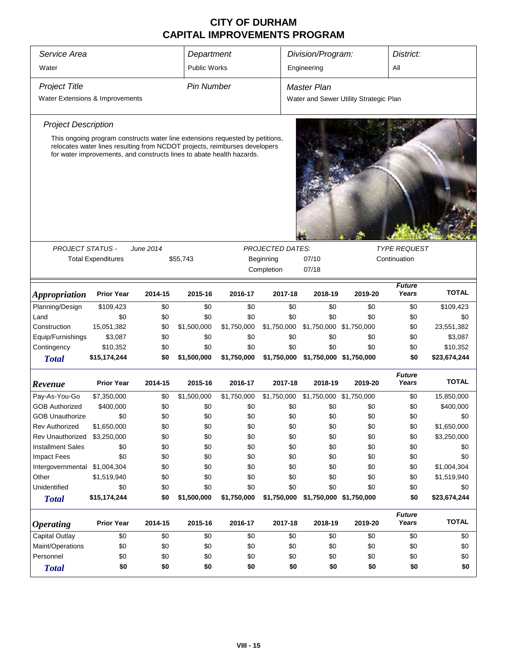| Service Area<br>Department                                                                                                                                                                                                           |                           |            |                   |             |                         | Division/Program:       |                                        | District:              |                    |  |
|--------------------------------------------------------------------------------------------------------------------------------------------------------------------------------------------------------------------------------------|---------------------------|------------|-------------------|-------------|-------------------------|-------------------------|----------------------------------------|------------------------|--------------------|--|
| Water                                                                                                                                                                                                                                | <b>Public Works</b>       |            |                   | Engineering |                         |                         |                                        |                        |                    |  |
| <b>Project Title</b>                                                                                                                                                                                                                 |                           |            | <b>Pin Number</b> |             |                         | <b>Master Plan</b>      |                                        |                        |                    |  |
| Water Extensions & Improvements                                                                                                                                                                                                      |                           |            |                   |             |                         |                         | Water and Sewer Utility Strategic Plan |                        |                    |  |
|                                                                                                                                                                                                                                      |                           |            |                   |             |                         |                         |                                        |                        |                    |  |
| <b>Project Description</b>                                                                                                                                                                                                           |                           |            |                   |             |                         |                         |                                        |                        |                    |  |
| This ongoing program constructs water line extensions requested by petitions,<br>relocates water lines resulting from NCDOT projects, reimburses developers<br>for water improvements, and constructs lines to abate health hazards. |                           |            |                   |             |                         |                         |                                        |                        |                    |  |
|                                                                                                                                                                                                                                      |                           |            |                   |             |                         |                         |                                        |                        |                    |  |
|                                                                                                                                                                                                                                      |                           |            |                   |             |                         |                         |                                        |                        |                    |  |
| <b>PROJECT STATUS -</b>                                                                                                                                                                                                              |                           | June 2014  |                   |             | <b>PROJECTED DATES:</b> |                         |                                        | <b>TYPE REQUEST</b>    |                    |  |
|                                                                                                                                                                                                                                      | <b>Total Expenditures</b> |            | \$55,743          |             | Beginning               | 07/10                   |                                        | Continuation           |                    |  |
|                                                                                                                                                                                                                                      |                           |            |                   |             | Completion              | 07/18                   |                                        |                        |                    |  |
|                                                                                                                                                                                                                                      |                           |            |                   |             |                         |                         |                                        | <b>Future</b>          |                    |  |
| <b>Appropriation</b>                                                                                                                                                                                                                 | <b>Prior Year</b>         | 2014-15    | 2015-16           | 2016-17     | 2017-18                 | 2018-19                 | 2019-20                                | Years                  | <b>TOTAL</b>       |  |
| Planning/Design                                                                                                                                                                                                                      | \$109,423                 | \$0        | \$0               | \$0         | \$0                     | \$0                     | \$0                                    | \$0                    | \$109,423          |  |
| Land                                                                                                                                                                                                                                 | \$0                       | \$0        | \$0               | \$0         | \$0                     | \$0                     | \$0                                    | \$0                    | \$0                |  |
| Construction                                                                                                                                                                                                                         | 15,051,382                | \$0        | \$1,500,000       | \$1,750,000 | \$1,750,000             | \$1,750,000             | \$1,750,000                            | \$0                    | 23,551,382         |  |
| Equip/Furnishings                                                                                                                                                                                                                    | \$3,087                   | \$0        | \$0               | \$0         | \$0                     | \$0                     | \$0                                    | \$0                    | \$3,087            |  |
| Contingency                                                                                                                                                                                                                          | \$10,352                  | \$0        | \$0               | \$0         | \$0                     | \$0                     | \$0                                    | \$0                    | \$10,352           |  |
| <b>Total</b>                                                                                                                                                                                                                         | \$15,174,244              | \$0        | \$1,500,000       | \$1,750,000 | \$1,750,000             |                         | \$1,750,000 \$1,750,000                | \$0                    | \$23,674,244       |  |
| Revenue                                                                                                                                                                                                                              | <b>Prior Year</b>         | 2014-15    | 2015-16           | 2016-17     | 2017-18                 | 2018-19                 | 2019-20                                | <b>Future</b><br>Years | <b>TOTAL</b>       |  |
|                                                                                                                                                                                                                                      |                           |            |                   |             |                         |                         |                                        |                        |                    |  |
| Pay-As-You-Go                                                                                                                                                                                                                        | \$7,350,000               | \$0        | \$1,500,000       | \$1,750,000 | \$1,750,000             | \$1,750,000 \$1,750,000 |                                        | \$0                    | 15,850,000         |  |
| <b>GOB Authorized</b>                                                                                                                                                                                                                | \$400,000                 | \$0        | \$0               | \$0         | \$0                     | \$0                     | \$0                                    | \$0                    | \$400,000          |  |
| <b>GOB Unauthorize</b><br><b>Rev Authorized</b>                                                                                                                                                                                      | \$0                       | \$0        | \$0<br>\$0        | \$0         | \$0<br>\$0              | \$0                     | \$0<br>\$0                             | \$0<br>\$0             | \$0<br>\$1,650,000 |  |
| Rev Unauthorized                                                                                                                                                                                                                     | \$1,650,000               | \$0<br>\$0 | \$0               | \$0<br>\$0  | \$0                     | \$0<br>\$0              | \$0                                    |                        | \$3,250,000        |  |
| <b>Installment Sales</b>                                                                                                                                                                                                             | \$3,250,000<br>\$0        |            | \$0               | \$0         | \$0                     |                         | \$0                                    | \$0                    | \$0                |  |
|                                                                                                                                                                                                                                      | \$0                       | \$0        | \$0               | \$0         | \$0                     | \$0                     | \$0                                    | \$0                    | \$0                |  |
| <b>Impact Fees</b>                                                                                                                                                                                                                   |                           | \$0        | \$0               | \$0         | \$0                     | \$0                     | \$0                                    | \$0                    | \$1,004,304        |  |
| Intergovernmental \$1,004,304<br>Other                                                                                                                                                                                               |                           | \$0        | \$0               | \$0         | \$0                     | \$0                     | \$0                                    | \$0                    |                    |  |
| Unidentified                                                                                                                                                                                                                         | \$1,519,940<br>\$0        | \$0<br>\$0 | \$0               | \$0         | \$0                     | \$0<br>\$0              | \$0                                    | \$0<br>\$0             | \$1,519,940<br>\$0 |  |
|                                                                                                                                                                                                                                      | \$15,174,244              | \$0        | \$1,500,000       | \$1,750,000 | \$1,750,000             |                         | \$1,750,000 \$1,750,000                | \$0                    | \$23,674,244       |  |
| <b>Total</b>                                                                                                                                                                                                                         |                           |            |                   |             |                         |                         |                                        |                        |                    |  |
| <b>Operating</b>                                                                                                                                                                                                                     | <b>Prior Year</b>         | 2014-15    | 2015-16           | 2016-17     | 2017-18                 | 2018-19                 | 2019-20                                | <b>Future</b><br>Years | <b>TOTAL</b>       |  |
| Capital Outlay                                                                                                                                                                                                                       | \$0                       | \$0        | \$0               | \$0         | \$0                     | \$0                     | \$0                                    | \$0                    | \$0                |  |
| Maint/Operations                                                                                                                                                                                                                     | \$0                       | \$0        | \$0               | \$0         | \$0                     | \$0                     | \$0                                    | \$0                    | \$0                |  |
| Personnel                                                                                                                                                                                                                            | \$0                       | \$0        | \$0               | \$0         | \$0                     | \$0                     | \$0                                    | \$0                    | \$0                |  |
| <b>Total</b>                                                                                                                                                                                                                         | \$0                       | \$0        | \$0               | \$0         | \$0                     | \$0                     | \$0                                    | \$0                    | \$0                |  |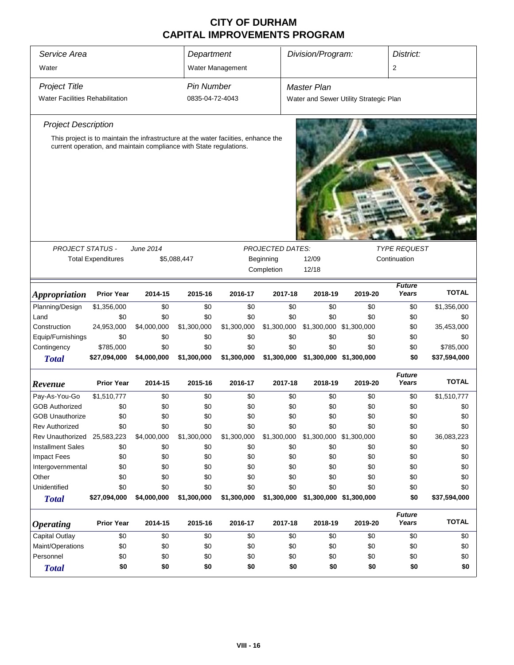| Service Area                                                                                                                                             |                           | Department  |                 | Division/Program:  |                         | District:   |                                        |                        |                    |
|----------------------------------------------------------------------------------------------------------------------------------------------------------|---------------------------|-------------|-----------------|--------------------|-------------------------|-------------|----------------------------------------|------------------------|--------------------|
| Water                                                                                                                                                    |                           |             |                 | Water Management   |                         |             |                                        | 2                      |                    |
| <b>Project Title</b>                                                                                                                                     | <b>Pin Number</b>         |             |                 | <b>Master Plan</b> |                         |             |                                        |                        |                    |
| <b>Water Facilities Rehabilitation</b>                                                                                                                   |                           |             | 0835-04-72-4043 |                    |                         |             | Water and Sewer Utility Strategic Plan |                        |                    |
| <b>Project Description</b>                                                                                                                               |                           |             |                 |                    |                         |             |                                        |                        |                    |
| This project is to maintain the infrastructure at the water faciities, enhance the<br>current operation, and maintain compliance with State regulations. |                           |             |                 |                    |                         |             |                                        |                        |                    |
|                                                                                                                                                          |                           |             |                 |                    |                         |             |                                        |                        |                    |
|                                                                                                                                                          |                           |             |                 |                    |                         |             |                                        |                        |                    |
|                                                                                                                                                          |                           |             |                 |                    |                         |             |                                        |                        |                    |
|                                                                                                                                                          |                           |             |                 |                    |                         |             |                                        |                        |                    |
|                                                                                                                                                          |                           |             |                 |                    |                         |             |                                        |                        |                    |
|                                                                                                                                                          |                           |             |                 |                    |                         |             |                                        |                        |                    |
|                                                                                                                                                          |                           |             |                 |                    |                         |             |                                        |                        |                    |
| <b>PROJECT STATUS -</b>                                                                                                                                  |                           | June 2014   |                 |                    | <b>PROJECTED DATES:</b> |             |                                        | <b>TYPE REQUEST</b>    |                    |
|                                                                                                                                                          | <b>Total Expenditures</b> |             | \$5,088,447     |                    | Beginning               | 12/09       |                                        | Continuation           |                    |
|                                                                                                                                                          |                           |             |                 |                    | Completion              | 12/18       |                                        |                        |                    |
|                                                                                                                                                          | <b>Prior Year</b>         |             |                 |                    |                         |             |                                        | <b>Future</b><br>Years | <b>TOTAL</b>       |
| <i><b>Appropriation</b></i>                                                                                                                              |                           | 2014-15     | 2015-16         | 2016-17            | 2017-18                 | 2018-19     | 2019-20<br>\$0                         |                        |                    |
| Planning/Design<br>Land                                                                                                                                  | \$1,356,000<br>\$0        | \$0<br>\$0  | \$0<br>\$0      | \$0<br>\$0         | \$0<br>\$0              | \$0<br>\$0  | \$0                                    | \$0<br>\$0             | \$1,356,000<br>\$0 |
| Construction                                                                                                                                             | 24,953,000                | \$4,000,000 | \$1,300,000     | \$1,300,000        | \$1,300,000             | \$1,300,000 | \$1,300,000                            | \$0                    | 35,453,000         |
| Equip/Furnishings                                                                                                                                        | \$0                       | \$0         | \$0             | \$0                | \$0                     | \$0         | \$0                                    | \$0                    | \$0                |
| Contingency                                                                                                                                              | \$785,000                 | \$0         | \$0             | \$0                | \$0                     | \$0         | \$0                                    | \$0                    | \$785,000          |
| <b>Total</b>                                                                                                                                             | \$27,094,000              | \$4,000,000 | \$1,300,000     | \$1,300,000        | \$1,300,000             |             | \$1,300,000 \$1,300,000                | \$0                    | \$37,594,000       |
|                                                                                                                                                          |                           |             |                 |                    |                         |             |                                        | <b>Future</b>          |                    |
| Revenue                                                                                                                                                  | <b>Prior Year</b>         | 2014-15     | 2015-16         | 2016-17            | 2017-18                 | 2018-19     | 2019-20                                | Years                  | <b>TOTAL</b>       |
| Pay-As-You-Go                                                                                                                                            | \$1,510,777               | \$0         | \$0             | \$0                | \$0                     | \$0         | \$0                                    | \$0                    | \$1,510,777        |
| <b>GOB Authorized</b>                                                                                                                                    | \$0                       | \$0         | \$0             | \$0                | \$0                     | \$0         | \$0                                    | \$0                    | \$0                |
| <b>GOB Unauthorize</b>                                                                                                                                   | \$0                       | \$0         | \$0             | \$0                | \$0                     | \$0         | \$0                                    | \$0                    | \$0                |
| Rev Authorized                                                                                                                                           | \$0                       | \$0         | \$0             | \$0                | \$0                     | \$0         | \$0                                    | \$0                    | \$0                |
| Rev Unauthorized 25,583,223                                                                                                                              |                           | \$4,000,000 | \$1,300,000     | \$1,300,000        | \$1,300,000             | \$1,300,000 | \$1,300,000                            | \$0                    | 36,083,223         |
| <b>Installment Sales</b>                                                                                                                                 | \$0                       | \$0         | \$0             | \$0                | \$0                     | \$0         | \$0                                    | \$0                    | \$0                |
| <b>Impact Fees</b>                                                                                                                                       | \$0                       | \$0         | \$0             | \$0                | \$0                     | \$0         | \$0                                    | \$0                    | \$0                |
| Intergovernmental                                                                                                                                        | \$0                       | \$0         | \$0             | \$0                | \$0                     | \$0         | \$0                                    | \$0                    | \$0                |
| Other                                                                                                                                                    | \$0                       | \$0         | \$0             | \$0                | \$0                     | \$0         | \$0                                    | \$0                    | \$0                |
| Unidentified                                                                                                                                             | \$0                       | \$0         | \$0             | \$0                | \$0                     | \$0         | \$0                                    | \$0                    | \$0                |
| <b>Total</b>                                                                                                                                             | \$27,094,000              | \$4,000,000 | \$1,300,000     | \$1,300,000        | \$1,300,000             |             | \$1,300,000 \$1,300,000                | \$0                    | \$37,594,000       |
| <b>Operating</b>                                                                                                                                         | <b>Prior Year</b>         | 2014-15     | 2015-16         | 2016-17            | 2017-18                 | 2018-19     | 2019-20                                | <b>Future</b><br>Years | <b>TOTAL</b>       |
| Capital Outlay                                                                                                                                           | \$0                       | \$0         | \$0             | \$0                | \$0                     | \$0         | \$0                                    | \$0                    | \$0                |
| Maint/Operations                                                                                                                                         | \$0                       | \$0         | \$0             | \$0                | \$0                     | \$0         | \$0                                    | \$0                    | \$0                |
| Personnel                                                                                                                                                | \$0                       | \$0         | \$0             | \$0                | \$0                     | \$0         | \$0                                    | \$0                    | \$0                |
| <b>Total</b>                                                                                                                                             | \$0                       | \$0         | \$0             | \$0                | \$0                     | \$0         | \$0                                    | \$0                    | \$0                |
|                                                                                                                                                          |                           |             |                 |                    |                         |             |                                        |                        |                    |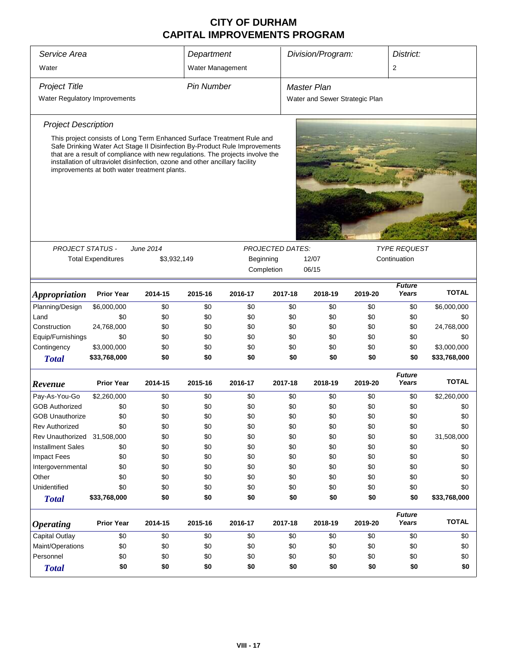| Service Area                  |                                                                                                                                                                                                                                                                                                                                                                        |             | Department  |                                |                         | Division/Program: |         |         | District:              |              |
|-------------------------------|------------------------------------------------------------------------------------------------------------------------------------------------------------------------------------------------------------------------------------------------------------------------------------------------------------------------------------------------------------------------|-------------|-------------|--------------------------------|-------------------------|-------------------|---------|---------|------------------------|--------------|
| Water                         | Water Management                                                                                                                                                                                                                                                                                                                                                       |             |             |                                |                         |                   | 2       |         |                        |              |
| <b>Project Title</b>          | <b>Pin Number</b>                                                                                                                                                                                                                                                                                                                                                      |             | Master Plan |                                |                         |                   |         |         |                        |              |
| Water Regulatory Improvements |                                                                                                                                                                                                                                                                                                                                                                        |             |             | Water and Sewer Strategic Plan |                         |                   |         |         |                        |              |
| <b>Project Description</b>    |                                                                                                                                                                                                                                                                                                                                                                        |             |             |                                |                         |                   |         |         |                        |              |
|                               | This project consists of Long Term Enhanced Surface Treatment Rule and<br>Safe Drinking Water Act Stage II Disinfection By-Product Rule Improvements<br>that are a result of compliance with new regulations. The projects involve the<br>installation of ultraviolet disinfection, ozone and other ancillary facility<br>improvements at both water treatment plants. |             |             |                                |                         |                   |         |         |                        |              |
|                               |                                                                                                                                                                                                                                                                                                                                                                        |             |             |                                |                         |                   |         |         |                        |              |
| <b>PROJECT STATUS -</b>       |                                                                                                                                                                                                                                                                                                                                                                        | June 2014   |             |                                | <b>PROJECTED DATES:</b> |                   |         |         | <b>TYPE REQUEST</b>    |              |
|                               | <b>Total Expenditures</b>                                                                                                                                                                                                                                                                                                                                              | \$3,932,149 |             | Beginning                      |                         | 12/07             |         |         | Continuation           |              |
|                               |                                                                                                                                                                                                                                                                                                                                                                        |             |             |                                | Completion              | 06/15             |         |         |                        |              |
| <i><b>Appropriation</b></i>   | <b>Prior Year</b>                                                                                                                                                                                                                                                                                                                                                      | 2014-15     | 2015-16     | 2016-17                        | 2017-18                 |                   | 2018-19 | 2019-20 | <b>Future</b><br>Years | <b>TOTAL</b> |
| Planning/Design               | \$6,000,000                                                                                                                                                                                                                                                                                                                                                            | \$0         | \$0         | \$0                            |                         | \$0               | \$0     | \$0     | \$0                    | \$6,000,000  |
| Land                          | \$0                                                                                                                                                                                                                                                                                                                                                                    | \$0         | \$0         | \$0                            |                         | \$0               | \$0     | \$0     | \$0                    | \$0          |
| Construction                  | 24,768,000                                                                                                                                                                                                                                                                                                                                                             | \$0         | \$0         | \$0                            |                         | \$0               | \$0     | \$0     | \$0                    | 24,768,000   |
| Equip/Furnishings             | \$0                                                                                                                                                                                                                                                                                                                                                                    | \$0         | \$0         | \$0                            |                         | \$0               | \$0     | \$0     | \$0                    | \$0          |
| Contingency                   | \$3,000,000                                                                                                                                                                                                                                                                                                                                                            | \$0         | \$0         | \$0                            |                         | \$0               | \$0     | \$0     | \$0                    | \$3,000,000  |
| <b>Total</b>                  | \$33,768,000                                                                                                                                                                                                                                                                                                                                                           | \$0         | \$0         | \$0                            |                         | \$0               | \$0     | \$0     | \$0                    | \$33,768,000 |
| Revenue                       | <b>Prior Year</b>                                                                                                                                                                                                                                                                                                                                                      | 2014-15     | 2015-16     | 2016-17                        | 2017-18                 |                   | 2018-19 | 2019-20 | <b>Future</b><br>Years | <b>TOTAL</b> |
| Pay-As-You-Go                 | \$2,260,000                                                                                                                                                                                                                                                                                                                                                            | \$0         | \$0         | \$0                            |                         | \$0               | \$0     | \$0     | \$0                    | \$2,260,000  |
| <b>GOB Authorized</b>         | \$0                                                                                                                                                                                                                                                                                                                                                                    | \$0         | \$0         | \$0                            |                         | \$0               | \$0     | \$0     | \$0                    | \$0          |
| <b>GOB Unauthorize</b>        | \$0                                                                                                                                                                                                                                                                                                                                                                    | \$0         | \$0         | \$0                            |                         | \$0               | \$0     | \$0     | \$0                    | \$0          |
| Rev Authorized                | \$0                                                                                                                                                                                                                                                                                                                                                                    | \$0         | \$0         | \$0                            |                         | \$0               | \$0     | \$0     | \$0                    | \$0          |
| Rev Unauthorized              | 31,508,000                                                                                                                                                                                                                                                                                                                                                             | \$0         | \$0         | \$0                            |                         | \$0               | \$0     | \$0     | \$0                    | 31,508,000   |
| <b>Installment Sales</b>      | \$0                                                                                                                                                                                                                                                                                                                                                                    | \$0         | \$0         | \$0                            |                         | \$0               | \$0     | \$0     | \$0                    | \$0          |
| <b>Impact Fees</b>            | \$0                                                                                                                                                                                                                                                                                                                                                                    | \$0         | \$0         | \$0                            |                         | \$0               | \$0     | \$0     | \$0                    | \$0          |
| Intergovernmental             | \$0                                                                                                                                                                                                                                                                                                                                                                    | \$0         | \$0         | \$0                            |                         | \$0               | \$0     | \$0     | \$0                    | \$0          |
| Other                         | \$0                                                                                                                                                                                                                                                                                                                                                                    | \$0         | \$0         | \$0                            |                         | \$0               | \$0     | \$0     | \$0                    | \$0          |
| Unidentified                  | \$0                                                                                                                                                                                                                                                                                                                                                                    | \$0         | \$0         | \$0                            |                         | \$0               | \$0     | \$0     | \$0                    | \$0          |
| <b>Total</b>                  | \$33,768,000                                                                                                                                                                                                                                                                                                                                                           | \$0         | \$0         | \$0                            |                         | \$0               | \$0     | \$0     | \$0                    | \$33,768,000 |
| <b>Operating</b>              | <b>Prior Year</b>                                                                                                                                                                                                                                                                                                                                                      | 2014-15     | 2015-16     | 2016-17                        | 2017-18                 |                   | 2018-19 | 2019-20 | <b>Future</b><br>Years | <b>TOTAL</b> |
| <b>Capital Outlay</b>         | \$0                                                                                                                                                                                                                                                                                                                                                                    | \$0         | \$0         | \$0                            |                         | \$0               | \$0     | \$0     | \$0                    | \$0          |
| Maint/Operations              | \$0                                                                                                                                                                                                                                                                                                                                                                    | \$0         | \$0         | \$0                            |                         | \$0               | \$0     | \$0     | \$0                    | \$0          |
| Personnel                     | \$0                                                                                                                                                                                                                                                                                                                                                                    | \$0         | \$0         | \$0                            |                         | \$0               | \$0     | \$0     | \$0                    | \$0          |
| <b>Total</b>                  | \$0                                                                                                                                                                                                                                                                                                                                                                    | \$0         | \$0         |                                | \$0                     | \$0               | \$0     | \$0     | \$0                    |              |